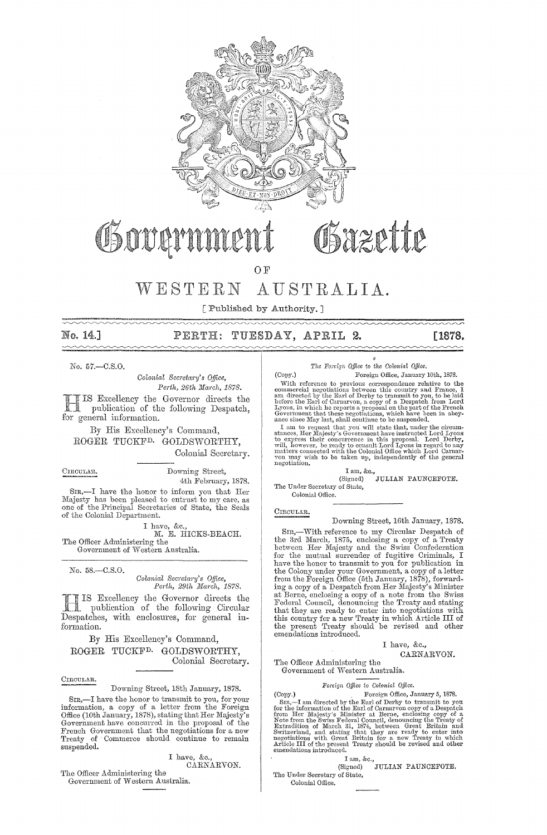

# Gover

OF

#### $WESTERN$ AUSTRALIA.

[ Published by Authority.]

No. 14.]  $\sim$ 

#### PERTH: TUESDAY, APRIL 2.

[1878.  $\sim$ 

No. 57,-C.S.O.

Colonial Secretary's Office, Perth, 26th March, 1878.

IS Excellency the Governor directs the publication of the following Despatch, for general information.

By His Excellency's Command, ROGER TUCKF<sup>D.</sup> GOLDSWORTHY, Colonial Secretary.

CIRCULAR.

Downing Street, 4th February, 1878.

 $SIR, -I$  have the honor to inform you that Her Majesty has been pleased to entrust to my care, as one of the Principal Secretaries of State, the Seals of the Colonial Department.

I have, &c., M. E. HICKS-BEACH. The Officer Administering the Government of Western Australia.

No. 58.-C.S.O.

#### Colonial Secretary's Office, Perth, 29th March, 1878.

IS Excellency the Governor directs the publication of the following Circular Despatches, with enclosures, for general information.

By His Excellency's Command, ROGER TUCKF<sup>D.</sup> GOLDSWORTHY. Colonial Secretary.

CIRCULAR.

Downing Street, 18th January, 1878.

SIR,—I have the honor to transmit to you, for your information, a copy of a letter from the Foreign Office (10th January, 1878), stating that Her Majesty's Government have concurred in the proposal of the French Governmen Treaty of Commerce should continue to remain suspended.

I have, &c., CARNARVON.

The Officer Administering the Government of Western Australia. The Foreign Office to the Colonial Office. Foreign Office, January 10th, 1878.

Osazette

(Copy.) (Copy.) Foreign Office, January 10th, 1878.<br>
UDM, 1878.<br>
UDM reference to previous correspondence relative to the<br>
commercial negotiations between this country and France, I<br>
am directed by the Earl of Derby to transmit t

Iam, &c.,<br>Signed) JULIAN PAUNCEFOTE. (Signed) The Under Secretary of State,

Colonial Office

CIRCULAR.

Downing Street, 16th January, 1878.

-With reference to my Circular Despatch of  $S_{TR,-}$ the 3rd March, 1875, enclosing a copy of a Treaty<br>between Her Majesty and the Swiss Confederation<br>for the mutual surrender of fugitive Criminals, I For the motion of the contraction of the contract of the colony under your Government, a copy of a letter from the Foreign Office (5th January, 1878), forwarding a copy of a Despatch from Her Majesty's Minister may a copy of a note from the Swiss<br>at Berne, enclosing a copy of a note from the Swiss<br>Federal Council, denouncing the Treaty and stating<br>that they are ready to enter into negotiations with<br>this country for a new Treaty i emendations introduced.

#### I have, &c.,

CARNARVON.

The Officer Administering the Government of Western Australia.

#### Foreign Office to Colonial Office.

(Copy.) Foreign Office, January 5, 1878.<br>
SIR,—The mirrected by the Earl of Derby to transmit to your for the form the information of the Earl of Carnary<br>
from the minimum copy of a Despatch from Her Majesty's Minister at Foreign Office, January 5, 1878. (Copy.)

I am, &c.,<br><sup>Homed</sup>) JULIAN PAUNCEFOTE. (Signed) The Under Secretary of State,

Colonial Office.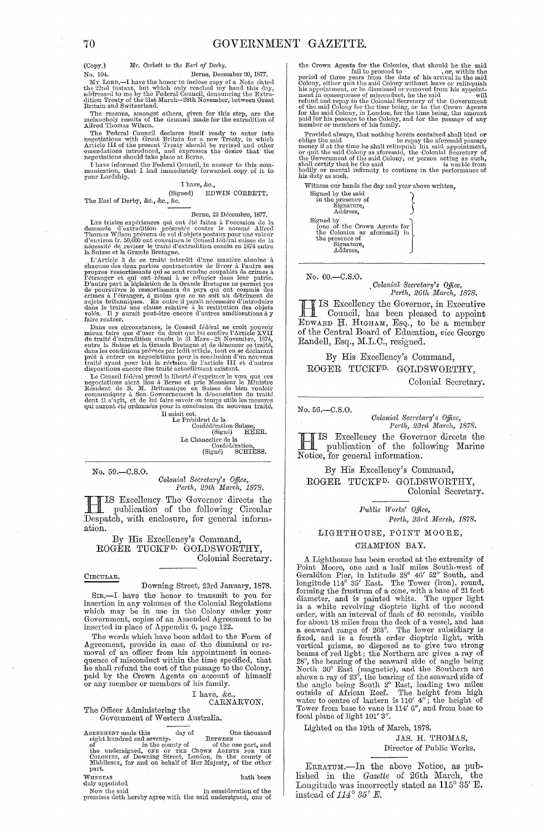Mr. Corbett to the Earl of Derby.  $(Covy)$ 

Berne, December 30, 1877.

No. U.W. LORD,—I have the honor to inclose copy of a Note dated<br>the 22nd instant, but which only reached my hand this day,<br>addressed to me by the Federal Council, denouncing the Extra-<br>diffused to me by the Federal Council

The reasons, amongst others, given for this step, are the melancholy results of the demand made for the extradition of Alfred Thomas Wilson.  $\,$ 

After Homass wisoli, The Federal Council declares itself ready to enter into negotiations with Great Britain for a new Treaty, in which Article III of the present Treaty should be revised and other emendations introduced,

There is no interesting the place as being.<br>
I have to this communication, that I had immediately forwarded copy of it to<br>
your Lordship.

#### I have, &c., (Signed)

EDWIN CORBETT.

The Earl of Derby, &c., &c., &c.

#### Berne, 22 Décembre, 1877.

Berne, 22 Décembre, 1877.<br>Berne, 22 Décembre, 1877.<br>demandé d'extradition présenté contre le nommé Alfred Thomas Wilson prévenu de vol d'objets postaux pour une valeur d'encric<br>n'encrit i de reviser le nommé alfredéral su

nure rentrer.<br>
Dans est circonstances, le Conseil fédéral ne croit pouvoir<br>
Dans ces circonstances, le Conseil fédéral ne croit pouvoir<br>
du traité d'extradition conclu le 31 Mars—28 Novembre, 1874,<br>
entre la Suisse et la

dispositions encore due tratte actuellement existant.<br>
Le Conseil fédéral prend la liberté d'exprimer le vou que ces<br>
negociations aient lieu à Berne et prie Monsieur le Ministre<br>
Résident de S. M. Britannique en Suisse d

Four la construction<br>
Il saisit cet.<br>
Le Président de la Confédération Suisse,<br>
(Signé) HEER.<br>
Time de la transport de la transportant de la transportant de la transportant de la transportant de la transportant de la trans Confédération,<br>gné) SCHIESS.  $\widetilde{\mathrm{(Sign6)}}$ 

No. 59.-C.S.O.

Colonial Secretary's Office,<br>Perth, 29th March, 1878.

THIS Excellency The Governor directs the publication of the following Circular Despatch, with enclosure, for general information.

By His Excellency's Command ROGÉR TUCKF<sup>D.</sup> GOLDSWORTHY, Colonial Secretary.

#### CIRCULAR.

Downing Street, 23rd January, 1878. Sra,—I have the honor to transmit to you for<br>insertion in any volumes of the Colonial Regulations<br>which may be in use in the Colony under your<br>Government, copies of an Amended Agreement to be inserted in place of Appendix 6, page 122.

The words which have been added to the Form of Agreement, provide in case of the dismissal or removal of an officer from his appointment in consequence of misconduct within the time specified, that<br>he shall refund the cost of the passage to the Colony,<br>paid by the Crown Agents on account of himself or any member or members of his family.

### I have, &c., CARNARVON.

The Officer Administering the Government of Western Australia.

AGREEMENT made this day of One thousand<br>eight hundred and seventy-<br>of the one part, and<br>the undersigned, one or THE CROWN AGREES FOR THE<br>COLONIES, of Downing Street, London, in the county of<br>Middlesex, for and on behalf of part. hath been

WHEREAS<br>duly appointed

Now the said in consideration of the premises doth hereby agree with the said undersigned, one of

the Crown Agents for the Colonies, that should he the said<br>period of three years from the date of his arrival in the said<br>Colony, either quit the said Colony without leave or relinquish<br>his appointment, or be dismissed or

Frontied always, that nothing herein contained shall bind or<br>Provided always, that nothing herein contained shall bind or<br>collige the said<br>or money if at the time he shall relinquish his said appointment,<br>or quit the said

Witness our hands the day and year above written.



No. 60. - C.S.O.

Colonial Secretary's Office,<br>Perth, 26th March, 1878.

IS Excellency the Governor, in Executive Council has been in Council, has been pleased to appoint EDWARD H. HIGHAM, Esq., to be a member<br>of the Central Board of Education, vice George Randell, Esq., M.L.C., resigned.

#### By His Excellency's Command, ROGER TUCKF<sup>D.</sup> GOLDSWORTHY, Colonial Secretary.

No. 56.-C.S.O.

Colonial Secretary's Office,<br>Perth, 23rd March, 1878.

IS Excellency the Governor directs the publication of the following Marine Notice, for general information.

By His Excellency's Command, ROGER TUCKF<sup>D.</sup> GOLDSWORTHY, Colonial Secretary.

> Public Works' Office, Perth, 23rd March, 1878.

#### LIGHTHOUSE, POINT MOORE,

#### CHAMPION BAY.

A Lighthouse has been erected at the extremity of<br>Point Moore, one and a half miles South-west of<br>Geraldton Pier, in latitude  $2S^{\circ} 46' 52''$  South, and<br>longitude  $114^{\circ} 35'$  East. The Tower (iron), round,<br>forming the order, with an interval of flash of 40 seconds, visible<br>for about 18 miles from the deck of a vessel, and has<br>a seaward range of 263°. The lower subsidiary is<br>fixed, and is a fourth order dioptric light, with<br>vertical pri focal plane of light 101' 3".

Lighted on the 19th of March, 1878.

JAS. H. THOMAS, Director of Public Works.

ERRATUM.-In the above Notice, as published in the Gazette of 26th March, the Longitude was incorrectly stated as  $115^{\circ} 35'$  E. instead of  $114^{\circ} 35'$  E.

No. 104.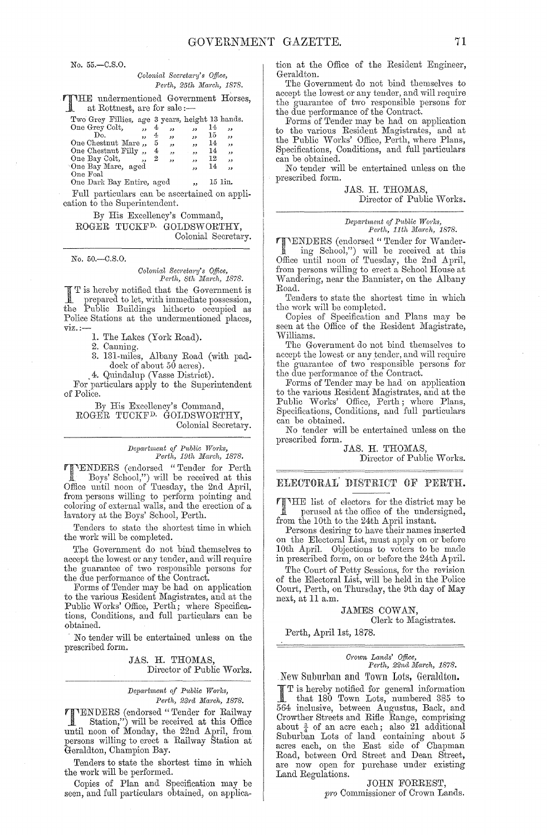No. 55.-C.S.0.

#### *Colonial Secretary's Office, Perth, 25th March, 1878.*

THE undermentioned Government Horses, at Rottnest, are for sale :-

| Two Grey Fillies, age 3 years, height 13 hands. |                         |   |    |                          |    |                          |
|-------------------------------------------------|-------------------------|---|----|--------------------------|----|--------------------------|
| One Grey Colt,                                  | ٠,                      | 4 | دد | $\overline{\mathbf{z}}$  | 14 | "                        |
| Do.                                             | , 1                     | 4 | دد | $\overline{\mathbf{z}}$  | 15 | $\overline{\phantom{a}}$ |
| One Chestnut Mare                               |                         | 5 | ود | ,,                       | 14 | ,                        |
| One Chestnut Filly,                             |                         | 4 | دد | $\overline{\phantom{a}}$ | 14 | $, \,$                   |
| One Bay Colt,                                   | $\overline{\mathbf{z}}$ | 2 | ,, | ,,                       | 12 | $\overline{\mathbf{z}}$  |
| One Bay Mare, aged                              |                         |   |    | $\overline{\phantom{a}}$ | 14 | ,,                       |
| $O_{\text{no}}$ Fool                            |                         |   |    |                          |    |                          |

One Foal One Dark Bay Entire, aged 15 1in.

Full particulars can be ascertained on application to the Superintendent.

By His Excellency's Command, ROGER TUCKFD. GOLDSWORTHY, Colonial Secretary.

No. 50.-C.8.0.

### *Colonial Secj'etary's o.fftce, Perth, 8th j)Iaj'ch, 1878.*

I T is hereby notified that the Government is<br>
prepared to let, with immediate possession,<br>
Dublic Prepared to letter in model the Public Buildings hitherto occupied as Police Stations at the undermentioned places,  $\nu$ iz.: $-$ 

1. The Lakes (York Road).

2. Canning.

3. 131-miles, Albany Road (with paddock of about  $50$  acres).

. 4. Quindalup (Vasse District).

For particulars apply to the Superintendent of Police.

By His Excellency's Command, ROGER TUCKF<sup>D.</sup> GOLDSWORTHY, Colonial Secretary.

### *Department of Public Works,*<br> *Perth, 19th March, 1878.*

**TENDERS** (endorsed "Tender for Perth" Boys' School,") will be received at this Office until noon of Tuesday, the 2nd April, from persons willing to perform pointing and coloring of external walls, and the erection of a lavatory at the Boys' School, Perth.

Tenders to state the shortest time in which the work will be completed.

The Government do not bind themselves to accept the lowest or any tender, and will require the guarantee of two responsible persons for the due performance of the Contract.

Forms of Tender may be had on application to the various Resident Magistrates, and at the Public Works' Office, Perth; where Specifications, Conditions, and full particulars can be obtained.

. No tender will be entertained unless on the prescribed form.

> JAS. H. THOMAS, Director of Public Works.

#### *Department of Public Works, Perth, 23j'd March, 1878.*

**TTENDERS** (endorsed "Tender for Railway") will be received at this Office until noon of Monday, the 22nd April, from persons willing to erect a Railway Station at Geraldton, Champion Bay.

Tenders to state the shortest time in which the work will be performed.

Copies of Plan and Specification may be seen, and full particulars obtained, on application at the Office of the Resident Engineer, Geraldton.

The Government do not bind themselves to accept the lowest or any tender, and will require the guarantee of two responsible persons for the due performance of the Contract.

Forms of Tender may be had on application to the various Resident Magistrates, and at the Public Works' Office, Perth, where Plans, Specifications, Conditions, and full particulars can be obtained.

No tender will be entertained unless on the prescribed form.

> JAS. H. THOMAS, Director of Public Works.

### *Department of Public Works,*<br>Perth, 11th March, 1878.

**THENDERS** (endorsed "Tender for Wander-<br>ling School,") will be received at this Office until noon of Tuesday, the 2nd April, from persons willing to erect a School House at vVandering, near the Bannister, on the Albany Road.

Tenders to state the shortest time in which the work will be completed.

Copies of Specification and Plans may be seen at the Office of the Resident Magistrate, vVilliams.

The Government do not bind themselves to accept the lowest or any tender, and will require the guarantee of two responsible persons for the due performance of the Contract.

Forms of Tender may be had on application to the various Resident Magistrates, and at the Public Works' Office, Perth; where Plans, Specifications, Conditions, and full particulars can be obtained.

No tender will be entertained unless on the prescribed form.

JAS. R. THOMAS,

Director of Public Works.

#### ELECTORAL' DISTRICT OF PERTH.

THE list of electors for the district may be perused at the office of the  $m-1$ perused at the office of the undersigned, from the 10th to the 24th April instant.

Persons desiring to have their names inserted on the Electoral List, must apply on or before 10th April. Objections to voters to be made in prescribed form, on or before the 24th April.

The Court of Petty Sessions, for the revision of the Eleetoral List., will be held in the Police Court, Perth, on Thursday, the 9th day of May next, at 11 a.m.

JAMES COWAN,

Clerk to Magistrates.

Perth, April 1st, 1878.

### *Crown Lands' Office,*<br> *Perth, 22nd March, 1878.*

New Suburban and Town Lots, Geraldton.

I T is hereby notified for general information that 180 Town Lots, numbered 385 to 564 inclusive, between Augustus, Back, and Crowther Streets and Rifle Range, comprising about  $\frac{3}{4}$  of an acre each; also 21 additional Suburban Lots of land containing about 5 acres each, on the East side of Chapman Road, between Ord Street and Dean Street, are now open for purchase under existing Land Regulations.

JOHN FORREST, *pro* Commissioner of Crown Lands.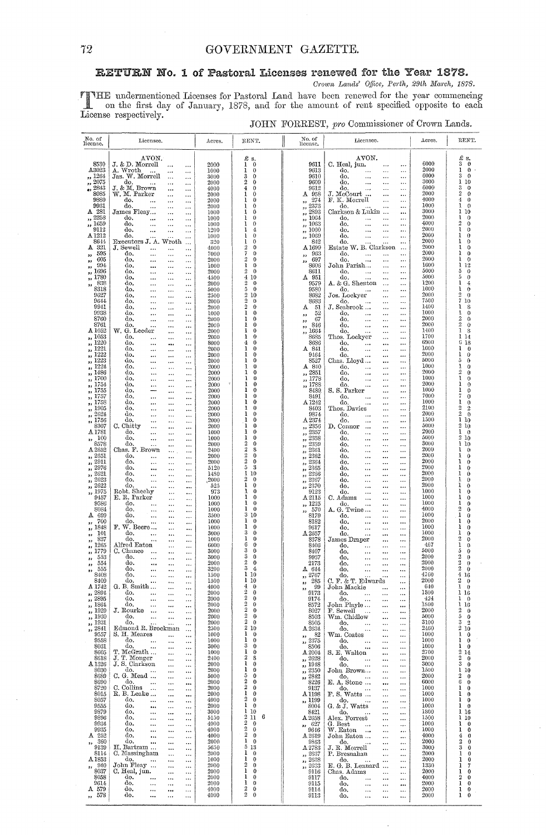### GOVERNMENT GAZETTE.

#### RETURN No. 1 of Pastoral Licenses renewed for the Year 1878.

Crown Lands' Office, Perth, 29th March, 1878.

 $\ddot{\phantom{a}}$ 

THE undermentioned Licenses for Pastoral Land have been renewed for the year commencing<br>on the first day of January, 1878, and for the amount of rent specified opposite to each<br>License respectively.

|  |  |  | JOHN FORREST, pro Commissioner of Crown Lands. |  |  |  |
|--|--|--|------------------------------------------------|--|--|--|
|--|--|--|------------------------------------------------|--|--|--|

| No. of<br>license.                           | Licensee.                                                                                 | Acres.            | RENT.                                                  | No. of<br>license.                                           | Licensee.                                                                                    | Acres.           | RENT.                                                |
|----------------------------------------------|-------------------------------------------------------------------------------------------|-------------------|--------------------------------------------------------|--------------------------------------------------------------|----------------------------------------------------------------------------------------------|------------------|------------------------------------------------------|
| 8530                                         | AVON.<br>J. & D. Morrell                                                                  |                   | £ s.<br>$\mathbf 0$                                    | 9611                                                         | AVON.<br>C. Heal, jun.                                                                       | 6000             | £<br>s.<br>3<br>$\bf{0}$                             |
| A3023                                        | $\ddotsc$<br>A. Wroth<br><br>                                                             | 2000<br>1000      | 1<br>1<br>$\bf{0}$                                     | 9613                                                         | $\cdots$<br><br>do,<br>$\cdots$<br>$\cdots$                                                  | 2000             | $\bf{0}$<br>1                                        |
| ,, 1264<br>,, 2075                           | Jas. W. Morrell<br>$\cdots$<br>$\ddotsc$<br>do.<br>$\ddotsc$<br>$\cdots$<br>              | 3000<br>2000      | 3<br>$\mathbf 0$<br>$\overline{2}$<br>0                | 9610<br>9609                                                 | do,<br>$\ddotsc$<br>$\ddotsc$<br><br>do.<br>$\ddotsc$<br>$\ddots$<br>                        | 6000<br>3000     | 3<br>$\theta$<br>ı<br>10                             |
| 2843<br>93<br>8085                           | J. & M. Brown<br>$\ddotsc$<br><br>W. M. Parker                                            | 4000<br>2000      | 4<br>0<br>ı<br>0                                       | 9612<br>A 958                                                | do.<br>$\cdots$<br>$\ddotsc$<br>$\cdots$<br>J. McCourt                                       | 6006<br>2000     | 3<br>$\circ$<br>2<br>$\theta$                        |
| 9880                                         | $\ddotsc$<br>$\ddotsc$<br>do.<br>$\ddotsc$<br>$\cdots$<br>$\ddotsc$                       | 2000              | 1<br>0                                                 | 274<br>,,                                                    | $\ddotsc$<br><br>F. K. Morrell<br>$\ddotsc$<br>                                              | 4000             | 4<br>0                                               |
| 9931<br>A 281                                | do.<br>$\ddotsc$<br>$\ddotsc$<br>$\ddotsc$<br>James Fleay<br>$\cdots$                     | 2000<br>1000      | ı<br>0<br>1<br>0                                       | 2373<br>,,<br>2893<br>$\mathbf{3}$                           | do.<br>$\ddotsc$<br><br>Clarkson & Lukin<br>                                                 | 1000<br>3000     | 1<br>$\theta$<br>1<br>10                             |
| 2258<br>,,                                   | do.<br>$\cdots$<br>$\cdots$<br><br>do.                                                    | 1000              | 1<br>0<br>1<br>0                                       | ,, 1064                                                      | do.<br>$\ddotsc$<br>$\ddotsc$<br><br>do.                                                     | 2000<br>4000     | 1<br>0<br>$\overline{2}$<br>0                        |
| ,, 1659<br>9112                              | <br>$\ddotsc$<br>$\ddotsc$<br>do.<br><br>$\ddotsc$<br>$\cdots$                            | 1000<br>1200      | 1<br>4                                                 | ,, 1063<br>,, 1060                                           | $\ddotsc$<br>$\cdots$<br>$\ddotsc$<br>do.<br>$\ddotsc$<br>$\ddots$<br>$\cdots$               | 2000             | 1<br>0                                               |
| A <sub>1212</sub><br>8644                    | do.<br>Executors J. A. Wroth                                                              | 1000<br>-320      | 1<br>0<br>ı<br>0                                       | ,, 1069<br>842                                               | do.<br>$\ddotsc$<br>$\cdots$<br>$\ddotsc$<br>do.<br>$\ddotsc$<br>                            | 2000<br>2000     | 1<br>0<br>ı<br>0                                     |
| A<br>-321<br>595                             | J. Sewell<br>$\ddot{\phantom{a}}$<br>$\cdots$<br>$\ddotsc$<br>do.<br>$\ddotsc$            | 4000<br>7000      | $\overline{2}$<br>0<br>7<br>0                          | A 1699<br>963                                                | Estate W. B. Clarkson<br>$\cdots$<br>do.<br>$\cdots$<br>$\ddotsc$<br>$\cdots$                | 2000<br>2000     | 1<br>0<br>ı<br>0                                     |
| $\overline{\phantom{a}}$<br>605<br>53        | $\cdots$<br>$\ddotsc$<br>do.<br>$\ddotsc$<br>$\ddotsc$<br>                                | 2000              | 2<br>0                                                 | ,,<br>697<br>,,                                              | do.<br>$\ddotsc$<br>$\ddotsc$<br>$\cdots$                                                    | 2000             | Ŧ<br>€                                               |
| 994<br>33<br>1696<br>,,                      | do.<br>$\ddotsc$<br>$\ddotsc$<br><br>do.<br>$\ddotsc$<br>$\ddotsc$                        | 1000<br>2000      | 1<br>$\bf{0}$<br>2<br>0                                | 8606<br>8611                                                 | John Parish<br>$\ddotsc$<br><br>do.<br>$\ddotsc$<br>$\cdots$<br>$\ddotsc$                    | 1600<br>5000     | 12<br>ı<br>5<br>0                                    |
| 1780<br>$\overline{\mathbf{z}}$<br>838       | do.<br>$\ddotsc$<br>$\cdots$<br><br>do.<br>$\cdots$<br>$\cdots$                           | 4500<br>$_{2000}$ | 4<br>10<br>$\overline{2}$<br>0                         | A 951<br>9579                                                | do.<br>$\ddotsc$<br>$\cdots$<br>$\ddotsc$<br>A. & G. Shenton<br>$\cdot$<br>$\cdots$          | 5000<br>1200     | 5<br>0<br>ł<br>4                                     |
| ,,<br>8318                                   | <br>do.<br>$\cdots$<br>$\ddotsc$<br>$\cdots$                                              | 5000              | 5<br>0                                                 | 9580                                                         | do.<br>$\cdots$<br>$\cdots$                                                                  | 1000<br>2000     | ı<br>0<br>2                                          |
| 9627<br>9644                                 | do,<br>$\ddotsc$<br>$\ddotsc$<br><br>do.<br>$\ddotsc$<br>$\cdots$<br>                     | 2500<br>2000      | $\overline{2}$<br>10<br>$\boldsymbol{2}$<br>$\bf{0}$   | 8682<br>8683                                                 | Jos. Lockyer<br>$\cdots$<br>$\cdots$<br>do.<br>$\cdots$<br>$\cdots$<br>$\cdots$              | 7500             | o<br>7<br>10                                         |
| 9941<br>9938                                 | do.<br>$\ddotsc$<br>$\ddotsc$<br><br>do.<br>$\cdots$                                      | 2000<br>1000      | $\overline{2}$<br>0<br>ı<br>0                          | Δ<br>51<br>52                                                | J. Seabrook<br>$\ddotsc$<br>$\ddot{\phantom{0}}$<br>do.<br>$\ddotsc$<br>$\cdots$<br>$\cdots$ | 1400<br>1000     | ı<br>8<br>ľ<br>0                                     |
| 8760                                         | <br><br>do.<br>$\ddotsc$<br><br>                                                          | 2000              | ı<br>0                                                 | ,,<br>67<br>,,                                               | do.<br>$\ddotsc$<br>$\cdots$<br>$\ddotsc$                                                    | 2000             | $\overline{2}$<br>0                                  |
| 8761<br>$\Delta\,1052$                       | do.<br>$\ddotsc$<br><br><br>W. G. Leeder<br><br>                                          | 2000<br>2000      | 1<br>0<br>1<br>$\bf{0}$                                | 846<br>$\rightarrow$<br>1664<br>,,                           | do.<br>$\ddotsc$<br><br>$\cdots$<br>do.<br>$\ddotsc$<br>$\cdots$<br>                         | 2000<br>1400     | $\overline{2}$<br>$\theta$<br>1<br>8                 |
| ,, 1053<br>,, 1220                           | do.<br>$\ddotsc$<br><br><br>do,<br>$\ddotsc$                                              | 2000<br>8000      | ı<br>0<br>4<br>0                                       | 8685<br>8686                                                 | Thos. Lockyer<br>$\ddotsc$<br>$\ddotsc$<br>do.<br>$\ddotsc$<br>$\ddotsc$<br>$\ddotsc$        | 1700<br>6900     | ı<br>14<br>6<br>18                                   |
| ,, 1221                                      | <br><br>do.<br>$\ddotsc$<br><br>                                                          | 2000              | 1<br>0                                                 | A 841                                                        | do.<br><br>$\ddotsc$<br>$\ddotsc$                                                            | 1000             | ı<br>0                                               |
| 1222<br>$\overline{\mathbf{z}}$<br>1223<br>, | do.<br><br>$\ddotsc$<br><br>do.<br>$\ddotsc$<br><br>$\cdots$                              | 2000<br>2000      | 1<br>0<br>ı<br>0                                       | 9464<br>8527                                                 | do.<br><br>$\ddotsc$<br><br>Chas. Lloyd<br>$\ddotsc$<br>$\ddotsc$                            | 2000<br>5000     | 1<br>0<br>5<br>о                                     |
| 1224<br>$\bullet$<br>1486                    | do.<br>$\ddotsc$<br><br><br>do.<br>$\cdots$                                               | 2000<br>2000      | 1<br>0<br>1<br>0                                       | A840<br>,, 2851                                              | do.<br>$\ddotsc$<br>$\cdots$<br><br>do.<br>$\ddotsc$                                         | 1000<br>2000     | 0<br>ţ<br>2<br>0                                     |
| $^{\circ}$<br>,, 1700                        | <br><br>do.<br>$\cdots$<br><br>                                                           | 2000<br>$\hat{q}$ | 1<br>0                                                 | ,, 1778                                                      | <br>$\ddotsc$<br>do,<br><br>$\ddotsc$<br>$\ddotsc$                                           | 1000             | 1<br>0                                               |
| ,, 1754<br>,, 1755                           | do,<br>$\ddotsc$<br><br>.<br>do.<br><br>                                                  | 2000<br>2000      | 1<br>0<br>ı<br>0                                       | ,, 1788<br>8489                                              | do.<br><br>$\ddot{\phantom{a}}$<br>S. S. Parker<br>$\ddotsc$<br>                             | 2000<br>1000     | 1<br>0<br>ı<br>$\theta$                              |
| ,, 1757<br>,, 1758                           | do.<br>$\ddotsc$<br><br><br>do.                                                           | 2000<br>2000      | ı<br>0<br>ı<br>0                                       | 8491<br>A <sub>1242</sub>                                    | do.<br>$\cdots$<br><br>$\cdots$<br>do.                                                       | 7000<br>1000     | 7<br>$\theta$<br>ı<br>0                              |
| ,, 1905                                      | $\ddotsc$<br><br><br>do,<br>$\ddotsc$<br><br>.                                            | 2000              | 1<br>0                                                 | 8403                                                         | $\ddotsc$<br><br><br>Thos. Davies<br>$\ddotsc$<br>$\ddotsc$                                  | 2100             | 2<br>2                                               |
| 2624<br>دو<br>,, 1756                        | do.<br><br>$\cdots$<br>$\ddotsc$<br>do.<br><br><br>                                       | 2000<br>2000      | ı<br>0<br>ı<br>0                                       | 9874<br>A2374                                                | do.<br><br>$\cdots$<br>$\ddotsc$<br>do.<br><br><br>                                          | 2000<br>1500     | $\theta$<br>Ŧ<br>10                                  |
| 8307<br>$\Delta\,1781$                       | C. Chitty<br>$\ddotsc$<br><br><br>do.<br>                                                 | 2000<br>1000      | ı<br>0<br>1<br>0                                       | , 2356<br>2357                                               | D. Connor<br>$\cdots$<br>$\ddotsc$<br><br>do.                                                | 5000<br>2000     | 2<br>10<br>0                                         |
| 100<br>$\mathbf{r}$                          | <br><br>do.<br><br><br>                                                                   | 1000              | 1<br>0                                                 | $\overline{\phantom{a}}$<br>2358<br>$\overline{\phantom{a}}$ | <br>$\ldots$<br><br>do.<br><br>$\cdots$                                                      | 5000             | 10                                                   |
| 8578<br>A.2652                               | do.<br>$\cdots$<br><br><br>Chas. F. Brown<br>                                             | 2000<br>2400      | $\boldsymbol{2}$<br>0<br>$\boldsymbol{2}$<br>8         | 2359<br>22<br>2361<br>52                                     | do.<br><br>$\cdots$<br><br>do.<br><br>$\cdots$<br>                                           | 3000<br>2000     | 10<br>n                                              |
| ,, 2651<br>,, 2911                           | do.<br>$\ddotsc$<br><br><br>do.<br>$\cdots$                                               | 2000<br>2000      | $\boldsymbol{2}$<br>0<br>$\overline{2}$<br>0           | 2362<br>55<br>2364                                           | do.<br><br>$\cdots$<br><br>do.                                                               | 2000<br>2000     | 0<br>0                                               |
| , 2976                                       | <br>$\ddotsc$<br>do.<br><br><br>$\ddotsc$                                                 | 5120              | 5<br>3                                                 | 52<br>2365<br>$\overline{ }$                                 | <br><br>do.<br><br>$\ddotsc$<br>                                                             | 2000             | Ð                                                    |
| ,, 2621<br>,, 2623                           | do.<br><br><br>$\ddotsc$<br>do.<br>$\ddotsc$<br><br>$\cdots$                              | 1480<br>,2000     | 1<br>10<br>2<br>0                                      | 2366<br>55<br>2367<br>$\overline{\mathbf{z}}$                | do.<br><br>$\ddotsc$<br>do.<br><br>$\ddotsc$<br>                                             | 2000<br>$2000\,$ | 0<br>0                                               |
| ,, 2622<br>,, 1975                           | do.<br>$\ddotsc$<br><br><br>Robt. Sheehy                                                  | 525<br>973        | 1<br>0<br>ı<br>0                                       | 2370<br>$\overline{\phantom{a}}$<br>9123                     | do.<br><br>$\ddotsc$<br><br>do.                                                              | 2000<br>1000     | 0<br>0                                               |
| 9457                                         | $\ddotsc$<br><br>E. R. Parker<br><br>                                                     | 1000              | 1<br>0                                                 | A 2115                                                       | <br>$\ddotsc$<br><br>C. Adams<br>$\ddotsc$<br><br>$\ddotsc$                                  | 1000             | 0                                                    |
| 9586<br>8084                                 | do.<br>$\ddotsc$<br><br>$\ddotsc$<br>do.<br>$\ddotsc$<br><br>$\cdots$                     | 1000<br>1000      | 1<br>0<br>1<br>$\theta$                                | ,, 1225<br>570<br>5.5                                        | do.<br><br><br><br>A. G. Twine<br>$\ddotsc$<br>                                              | 1000<br>4000     | 0<br>2<br>0                                          |
| A. 699<br>700                                | do.<br>$\ddotsc$<br><br>$\ddotsc$<br>do.<br><br>                                          | 3500<br>1000      | 3<br>10<br>1<br>0                                      | 8179<br>8182                                                 | do.<br>$\ddotsc$<br>$\cdots$<br>do.<br>                                                      | 1000<br>2000     | 0<br>0                                               |
| $\pmb{\mathfrak{z}}$<br>,, 1848              | $\cdots$<br>F. W. Beere<br><br>                                                           | 1000              | 1<br>$\theta$<br>3                                     | 9617                                                         | $\ddotsc$<br>do,<br><br>$\ddotsc$<br>                                                        | 1000             | ł<br>o                                               |
| 101<br>53<br>837<br>$\bullet$                | do.<br>$\ddot{\phantom{a}}$<br><br>$\ddotsc$<br>do.<br><br>$\cdots$                       | 3000<br>1000      | $^{0}$<br>1<br>0                                       | $\Lambda\,2657$<br>8378                                      | do.<br>$\cdots$<br><br>James Draper<br>$\cdots$<br>                                          | 1000<br>2000     | ı<br>0<br>2<br>$\theta$                              |
| 1265<br>$\bullet$<br>1779<br>$\mathbf{z}$    | Alfred Eaton<br><br>$\cdots$<br>C. Chance<br>$\ddotsc$<br><br>$\ddotsc$                   | 6000<br>3000      | 6<br>0<br>3<br>0                                       | 8106<br>8407                                                 | do.<br>$\cdots$<br><br>do.<br><br>$\ddotsc$                                                  | 467<br>5000      | $\Omega$<br>5<br>€                                   |
| 553<br>$\overline{\mathbf{z}}$               | do.<br>$\ddotsc$<br>$\ddotsc$<br>$\cdots$                                                 | 3000              | 3<br>0<br>$\boldsymbol{2}$                             | 9937                                                         | đo,<br><br>$\cdots$<br>                                                                      | 2000             | 2<br>0                                               |
| 554<br>$, \,$<br>555<br>$\bullet$            | do.<br>$\ddotsc$<br><br>$\cdots$<br>do.<br>$\ddotsc$<br><br>$\cdots$                      | 2000<br>3200      | $\theta$<br>3<br>4                                     | 2173<br>$A$ 644                                              | do.<br><br>$\cdots$<br>$\cdots$<br>do.<br><br>$\cdots$<br>                                   | 2000<br>2000     | $\overline{2}$<br>$\theta$<br>2<br>$\Omega$          |
| 9402<br>8409                                 | uo.<br>$\ldots$<br>$\cdots$<br>do.                                                        | 1900<br>1500      | 110<br>110                                             | ,, 2767<br>, 285                                             | ao.<br>C. F. & T. Edwards                                                                    | 4760<br>2000     | 4<br>- 16<br>$2\quad 0$                              |
| A 1742                                       | $\ldots$<br>$\ldots$<br>$\cdots$<br>G. B. Smith<br>$\cdots$<br>$\cdots$<br>do.            | 4000              | 40<br>$\,2$<br>$\bf{0}$                                | - 99<br>55                                                   | <br>John Mackie<br>                                                                          | 640<br>1800      | 1<br>$\theta$                                        |
| ,, 2894<br>,, 2895                           | $\sim$ 100 $\mu$<br>$\cdots$<br>$\cdots$<br>do.<br>$\ldots$<br>$\cdots$<br>$\ldots$       | 2000<br>2000      | $\,2\,$<br>$\theta$                                    | 9173<br>9174                                                 | do.<br>$\sim$ 100 $\pm$<br>$\cdots$<br><br>do.<br>$\cdots$<br>$\cdots$<br>$\ldots$           | 424              | 1 16<br>10                                           |
| ,, 1864<br>,, 1929                           | do.<br>$\ldots$<br>$\cdots$<br>$\cdots$<br>J. Rourke<br>$\ddotsc$<br>$\ddotsc$            | 2000<br>2000      | $\,2$<br>$\Omega$<br>$\mathbf{2}$<br>$\theta$          | 8572<br>8027                                                 | John Playle<br>$\ldots$<br>$\cdots$<br>F. Sewell<br>$\ldots$<br>$\ddotsc$                    | 1800<br>2000     | 1 16<br>2<br>$\theta$                                |
| ,, 1930<br>,, 1931                           | do.<br>$\ldots$<br>$\cdots$<br>$\cdots$<br>do.                                            | 2000<br>2000      | $\mathbf{2}$<br>$\bf{0}$<br>$\overline{2}$<br>$\bf{0}$ | 8503                                                         | Wm. Chidlow<br>$\cdots$<br>                                                                  | 5000<br>3100     | 5.<br>$\theta$<br>3<br>$\overline{2}$                |
| ,, 2841                                      | $\cdots$<br>$\cdots$<br>Edmond R. Brockman<br>$\cdots$                                    | 2500              | 210                                                    | 8505<br>A 2634                                               | do.<br>$\cdots$<br>$\cdots$<br>$\ldots$<br>do.<br>$\cdots$<br>$\ldots$<br>$\ldots$           | 2460             | 210                                                  |
| 9557<br>9558                                 | S. H. Meares<br>$\ldots$<br>$\cdots$<br>do.<br>$\cdots$<br>$\cdots$<br>$\cdots$           | 1000<br>1000      | $\mathbf{1}$<br>$^{\circ}$<br>ı<br>0                   | $\begin{array}{c} \text{1} \\ \text{2375} \end{array}$       | Wm. Coates<br>$\cdots$<br>$\cdots$<br>do.<br>$\sim$<br>$\cdots$<br>$\ldots$                  | 1000<br>1000     | $1\quad 0$<br>10                                     |
| 8031<br>8605                                 | do.<br>$\ldots$<br>$\ldots$<br>$\cdots$<br>T. McGrath $\ldots$                            | 3000<br>1000      | 3<br>$\bf{0}$<br>1<br>$\theta$                         | 8506<br>A2004                                                | do.<br>$\cdots$<br>$\ddotsc$<br>$\cdots$<br>S. E. Walton                                     | 1000<br>2700     | 10<br>$2\;14$                                        |
| 8618                                         | $\ldots$<br>$\cdots$<br>J. T. Monger<br>$\cdots$<br>$\ddotsc$                             | 2400              | $\overline{\mathbf{2}}$<br>8                           | ,, 2628                                                      | $\cdots$<br>$\ldots$<br>do.<br>$\ddotsc$<br>                                                 | 2000             | $2\quad 0$                                           |
| A 1326<br>8030                               | J. S. Clarkson<br>$\ldots$<br>$\cdots$<br>do.<br>$\sim$ 100 $\pm$<br>$\cdots$<br>$\cdots$ | 2000<br>2000      | ı<br>$\bf{0}$<br>ı<br>0                                | ,, 1948<br>,, 2350                                           | do.<br>$\sim$<br>$\ldots$<br>$\ddotsc$<br>John Brown<br>$\cdots$<br>$\ddotsc$                | 3000<br>1500     | $3\quad 0$<br>1 10                                   |
| 8689<br>8690                                 | C. G. Mead<br>$\cdots$<br>$\cdots$<br>do.                                                 | 5000<br>2000      | 5<br>0<br>$\boldsymbol{2}$<br>$\bf{0}$                 | ,, 2842                                                      | do.<br>$\sim$ 100 $\sim$<br>$\cdots$<br>$\cdots$                                             | 2000<br>6000     | 2<br>$\bf{0}$<br>6.<br>$\theta$                      |
| 8720                                         | $\sim$<br>$\ldots$<br>$\cdots$<br>C. Collins<br>$\ldots$<br>$\cdots$                      | 2000              | $\overline{2}$<br>0                                    | 8226<br>9137                                                 | E. A. Stone<br>$\cdots$<br>$\cdots$<br>$\alpha$ do. $\ldots$<br>$\ldots$<br>$\cdots$         | 1000             | ı<br>$\bf{0}$                                        |
| 8015<br>8057                                 | R. B. Leake<br>$\cdots$<br>$\cdots$<br>do.<br>$\sim$ $\sim$<br>$\cdots$<br>$\ddotsc$      | 2000<br>4000      | 1<br>0<br>$\boldsymbol{2}$<br>$\bf{0}$                 | A 1198<br>,, 1199                                            | F. S. Watts<br>$\ldots$<br>$\ddotsc$<br>do.<br>$\cdots$<br>$\cdots$                          | 1000<br>1000     | ı.<br>$\theta$<br>ı<br>$\bf{0}$                      |
| 9555                                         | do.<br>$\ldots$<br>$\cdots$<br>$\cdots$<br>do.                                            | 2000              | 1<br>$\mathbf{0}$<br>110                               | 8004                                                         | G. & J. Watts<br>$\ldots$<br>$\ddotsc$                                                       | 1000             | 10                                                   |
| 9879<br>9896                                 | $\cdots$<br>$\cdots$<br>$\cdots$<br>do.<br>$\cdots$<br>$\ddotsc$<br>$\cdots$              | 3000<br>5150      | $2\,$ 11 $\,$<br>6                                     | 8421<br>A 2658                                               | do.<br>$\ldots$<br>$\ddotsc$<br>Alex. Forrest<br>$\cdots$<br>$\cdots$                        | 1800<br>1500     | 116<br>110                                           |
| 9934<br>9935                                 | do.<br>$\ldots$<br>$\cdots$<br>$\ddotsc$<br>do.<br>$\ldots$<br>$\cdots$<br>$\cdots$       | 4000<br>4000      | $2\sqrt{0}$<br>$\mathbf{2}$<br>$\theta$                | , 627<br>9646                                                | G. Best<br>$\sim$<br>$\ldots$<br>$\ddotsc$<br>W. Eaton<br>$\ldots$<br>$\ldots$               | 1000<br>1000     | $\bf{0}$<br>1.<br>$\bf{0}$<br>1                      |
| A 252                                        | do.<br>$\cdots$<br>$\ddotsc$<br>$\cdots$                                                  | 4000              | $\overline{2}$<br>$\Omega$<br>$\mathbf{1}$             | A 2619                                                       | John Eaton<br>$\ldots$<br>$\cdots$                                                           | 4000             | 4<br>$\theta$                                        |
| ,, 360<br>9139                               | do.<br>$\ddotsc$<br>$\ddotsc$<br>$\ddotsc$<br>H. Bartram<br>$\cdots$<br>$\ddotsc$         | 2000<br>5650      | $\theta$<br>5 13                                       | 9863<br>A 2783                                               | đo.<br>$\cdots$<br>$\cdots$<br>J. R. Morrell<br>$\cdots$<br>$\cdots$                         | 2000<br>3000     | $\overline{\mathbf{2}}$<br>$\theta$<br>3<br>$\theta$ |
| 8114<br>A 1853                               | C. Massingham<br>$\ldots$<br>$\ddotsc$<br>do.<br>$\sim$ .                                 | 2000<br>1000      | 1<br>$\overline{0}$<br>1<br>$\theta$                   | ,, 2637<br>, 2638                                            | P. Bresnahan<br>$\cdots$<br>$\cdots$<br>do.                                                  | 2000<br>2000     | 1<br>$\theta$<br>1<br>$\bf{0}$                       |
| , 940                                        | $\ldots$<br>$\cdots$<br>John Fleay<br>$\cdots$<br>$\cdots$                                | 2000              | $\boldsymbol{2}$<br>$\bf{0}$                           | ,, 2633                                                      | $\cdots$<br>$\cdots$<br>$\cdots$<br>E. G. B. Lennard<br>$\cdots$                             | 1330             | 7<br>1                                               |
| 8037<br>8058                                 | C. Heal, jun.<br>$\cdots$<br>$\cdots$<br>do.<br>$\ldots$<br>$\ldots$<br>$\ldots$          | 2000<br>2000      | 1<br>$\mathbf{0}$<br>1<br>$\Omega$                     | 9116<br>9117                                                 | Chas. Adams<br>$\cdots$<br>$\ldots$<br>do.<br>$\ldots$<br>$\ldots$<br>$\cdots$               | 2000<br>4000     | $\bf{0}$<br>ı<br>$\overline{2}$<br>$\bf{0}$          |
| 9614<br>A 579                                | do.<br>$\cdots$<br>$\cdots$<br>$\cdots$<br>do.                                            | 2000<br>4000      | 1<br>$\Omega$<br>$\boldsymbol{2}$<br>$\Omega$          | 9115<br>9114                                                 | do.<br>$\ldots$<br>$\ldots$<br>$\cdots$<br>do.                                               | 2000<br>2000     | $\bf{0}$<br>ı<br>$1 \quad 0$                         |
| ,, 578                                       | $\cdots$<br>$\cdots$<br>$\cdots$<br>do.<br><br>$\ldots$<br>$\ldots$                       | 4000              | $\mathbf{2}$<br>$\theta$                               | 9113                                                         | $\ldots$<br>$\ldots$<br>$\cdots$<br>do.<br>$\ddotsc$<br>$\ldots$<br>$\cdots$                 | 2000             | $1 \quad 0$                                          |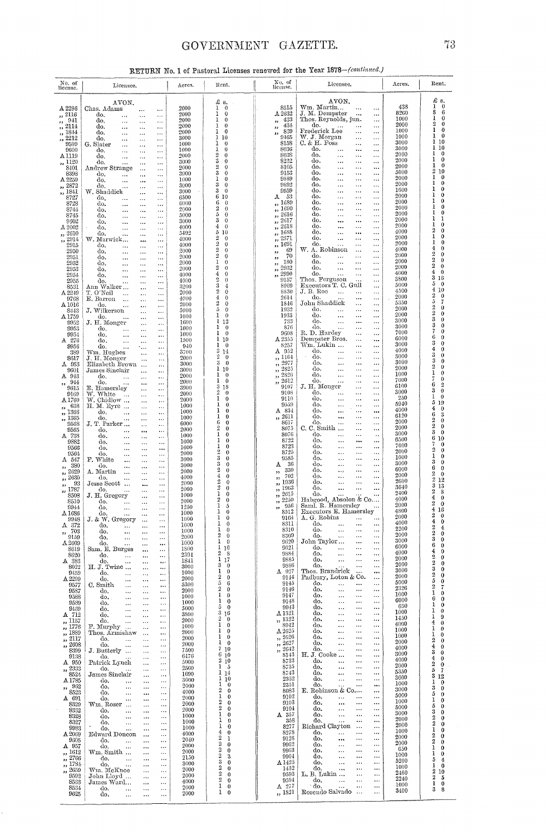### GOVERNMENT GAZETTE.

|  |  |  |  | RETURN No. 1 of Pastoral Licenses renewed for the Year 1878-(continued.) |  |
|--|--|--|--|--------------------------------------------------------------------------|--|
|  |  |  |  |                                                                          |  |

| No. of<br>license.                                           | Licensee.                                                                             | Acres.                                    | Rent.                                                       | No. of<br>license.                                       | Licensee.                                                                           | Acres.       | Rent.                                             |
|--------------------------------------------------------------|---------------------------------------------------------------------------------------|-------------------------------------------|-------------------------------------------------------------|----------------------------------------------------------|-------------------------------------------------------------------------------------|--------------|---------------------------------------------------|
|                                                              | AVON.                                                                                 |                                           | £ s.                                                        |                                                          | AVON.                                                                               |              | £ s.                                              |
| A2296                                                        | Chas. Adams<br>$\ddotsc$<br>                                                          | 2000                                      | $\theta$<br>ı<br>1<br>$\theta$                              | 8515                                                     | Wm. Martin<br>$\ddotsc$<br>J. M. Demoster                                           | 438<br>8260  | $\bf{0}$<br>ı<br>$\boldsymbol{6}$<br>8            |
| ,, 2116<br>941<br>23                                         | do.<br>$\ldots$<br>$\cdots$<br>$\ddotsc$<br>do.<br>$\ddotsc$<br>$\ddotsc$<br>$\cdots$ | 2000<br>2000                              | 1<br>$\bf{0}$                                               | A.2632<br>433<br>$\mathbf{r}$                            | $\ddotsc$<br>$\cdots$<br>Thos. Reynolds, jun.<br>$\ldots$                           | 1000         | $\bf{0}$<br>3                                     |
| , 2114<br>,, 1844                                            | do.<br>$\ddotsc$<br>$\ddotsc$<br>$\cdots$<br>do,                                      | 2000<br>2000                              | 0<br>1<br>1<br>$\bf{0}$                                     | $\frac{434}{839}$<br>$\mathbf{r}$                        | do.<br>$\ldots$<br>$\ldots$<br>$\cdots$<br>Frederick Lee<br>$\cdots$<br>$\cdots$    | 2000<br>1000 | $\overline{2}$<br>$\bf{0}$<br>1<br>$\bf{0}$       |
| , 2212                                                       | <br>$\ddotsc$<br><br>do.<br>$\cdots$<br>$\ddotsc$<br>$\cdots$                         | 3000                                      | 1<br>10                                                     | 5.5<br>9465                                              | W. J. Morgan<br>$\ldots$<br>$\ldots$                                                | 1000         | 1<br>$\bf{0}$<br>10<br>1                          |
| 9599<br>9600                                                 | G. Slater<br>$\ddotsc$<br>$\ddotsc$<br>$\ddotsc$<br>do.<br>$\cdots$<br>$\ddotsc$<br>  | 1000<br>1000                              | 1<br>0<br>1<br>$\bf{0}$                                     | 8158<br>8036                                             | $C.$ & $H.$ Foss<br>$\cdots$<br>$\cdots$<br>do.<br>$\ldots$<br>$\cdots$<br>$\cdots$ | 3000<br>3000 | 10<br>1                                           |
| A 1119                                                       | do,<br>$\ddotsc$<br>$\ddotsc$<br>$\cdots$                                             | 2000                                      | $\overline{2}$<br>$\theta$<br>3<br>$\bf{0}$                 | 8038<br>8232                                             | do.<br>$\ldots$<br><br>$\cdots$<br>do.                                              | 2000<br>2000 | 1<br>0<br>ı<br>0                                  |
| ,, 1120<br>8401                                              | do.<br>$\cdots$<br>$\ddotsc$<br>$\ddotsc$<br>Andrew Strange<br>$\ddotsc$<br>$\cdots$  | 3000<br>2000                              | $\overline{2}$<br>$\theta$                                  | 8105                                                     | $\ldots$<br>$\ldots$<br>$\cdots$<br>do.<br><br><br>                                 | 2000         | 1<br>$\bf{0}$                                     |
| 8398<br>A 2259                                               | do.<br>$\cdots$<br>$\ddotsc$<br>$\ddotsc$<br>do,                                      | 3000<br>1000                              | 3<br>$\theta$<br>$\bf{0}$<br>ı                              | 9153<br>9889                                             | do.<br><br>$\cdots$<br>$\cdots$<br>do.<br><br>$\cdots$<br>$\ldots$                  | 5000<br>2000 | 2<br>10<br>1<br>0                                 |
| ,, 2872                                                      | $\ddotsc$<br>$\cdots$<br>$\ddotsc$<br>do.<br>$\cdots$<br><br>                         | 3000                                      | 3<br>$\bf{0}$                                               | 9892                                                     | do.<br><br>$\cdots$<br>$\cdots$                                                     | 2000         | ı<br>0<br>ı<br>0                                  |
| ,, 1841<br>8727                                              | W. Shaddick<br>$\ddotsc$<br>$\ddotsc$<br>do,<br>$\cdots$<br>$\ldots$<br>$\cdots$      | 3000<br>6500                              | 3<br>$\theta$<br>6.<br>10                                   | 9959<br>- 53<br>А                                        | do.<br><br>$\cdots$<br>$\cdots$<br>do.<br>$\ldots$<br>$\cdots$<br>$\cdots$          | 1600<br>2000 | ı<br>0                                            |
| 8728                                                         | do.<br>$\cdots$<br><br>$\ddotsc$                                                      | 6000                                      | 6<br>$\bf{0}$<br>2<br>$\theta$                              | $1689\,$<br>,<br>$\frac{1}{2}$ , 1690                    | do.<br><br>$\cdots$<br>$\ldots$<br>do.<br>$\cdots$                                  | 2000<br>2000 | 1<br>0<br>1<br>0                                  |
| 8744<br>8745                                                 | do.<br>$\cdots$<br><br>$\cdots$<br>do.<br><br>$\ddotsc$<br>$\cdots$                   | 2000<br>5000                              | 5<br>$\bf{0}$                                               | 2616<br>,,                                               | <br>$\ldots$<br>do.<br>$\ldots$<br>$\cdots$<br>$\ldots$                             | 2000         | 1<br>0<br>ı<br>1                                  |
| 9602<br>$\Delta\,2002$                                       | do.<br>$\ldots$<br><br>$\ddotsc$<br>do,<br>$\ddotsc$<br>$\cdots$                      | 3000<br>4000                              | 3<br>$\mathbf{0}$<br>$\theta$<br>4                          | 2617<br>$, \,$<br>2618<br>$\overline{\mathbf{z}}$        | do.<br>$\ldots$<br><br>$\cdots$<br>do.<br><br>$\cdots$<br>$\ldots$                  | 2000<br>2000 | ı<br>$\bf{0}$                                     |
| ,, 2610                                                      | <br>do.<br><br><br>$\cdots$                                                           | 5492                                      | 510<br>2<br>$\theta$                                        | $\frac{1688}{12371}$                                     | do.<br>$\ddotsc$<br>$\cdots$<br>$\ldots$<br>do.                                     | 4000<br>2000 | 2<br>0<br>$\mathbf{1}$<br>0                       |
| $\frac{7}{12}$ , $\frac{2914}{14}$<br>2915                   | W. Marwick<br>$\ddotsc$<br>$\ldots$<br>do.<br>$\cdots$<br><br>$\ddotsc$               | 4000<br>4000                              | 2<br>$\theta$                                               | 1691<br>$\mathbf{r}$                                     | $\ddotsc$<br>$\cdots$<br>$\ldots$<br>do.<br>$\cdots$<br>$\ldots$<br>$\cdots$        | 2000         | 1<br>0                                            |
| 2950<br>2951                                                 | do.<br>$\cdots$<br><br>$\ddotsc$                                                      | 2000<br>2000                              | 2<br>$\bf{0}$<br>2<br>$\theta$                              | 69<br>,<br>70                                            | W. A. Robinson<br>$\ddotsc$<br>$\ldots$<br>do.<br>$\cdots$<br>$\cdots$<br>$\cdots$  | 4000<br>2000 | $\bf 4$<br>0<br>$\overline{2}$<br>0               |
| 2952                                                         | do.<br>$\cdots$<br><br>$\ddotsc$<br>do.<br>$\cdots$<br><br>$\ddotsc$                  | $2000\,$                                  | 1<br>$\bf{0}$                                               | $^{\circ}$<br>180<br>$\overline{\phantom{a}}$            | do.<br>.<br>$\cdots$<br>                                                            | 2000         | $\overline{2}$<br>0<br>$\overline{2}$<br>0        |
| 2953<br>2954                                                 | do.<br>$\ddotsc$<br>$\cdots$<br>$\ddotsc$<br>do,<br>$\ldots$<br><br>$\ldots$          | 2000<br>4000                              | 2<br>$\theta$<br>4<br>$\bf{0}$                              | 2932<br>$\overline{\phantom{a}}$<br>2990<br>,,           | do.<br><br>$\cdots$<br>$\ldots$<br>do.<br>$\ddotsc$<br>$\cdots$<br>$\cdots$         | 2000<br>4000 | $\overline{4}$<br>0                               |
| 2955                                                         | do.<br>$\ddotsc$<br>                                                                  | 4000<br>                                  | 2<br>$\theta$<br>3<br>$\overline{4}$                        | 9157<br>8969                                             | Thos. Ferguson<br>$\cdots$<br>Executors T. C. Gull                                  | 3800<br>5000 | 3<br>16<br>5<br>0                                 |
| 8531<br>A 2249                                               | Ann Walker<br>$\ddotsc$<br>T. O'Neil<br>$\ddotsc$<br>$\cdots$                         | 3200<br><br>2000<br>                      | $\overline{2}$<br>$\theta$                                  | 8830                                                     | $\cdots$<br>J. B. Roe<br>$\ldots$<br>$\ldots$<br>$\cdots$                           | 4500         | 4<br>10<br>$\overline{2}$                         |
| 9768<br>A 1016                                               | E. Barron<br>$\ddots$<br>$\ddotsc$<br>do.                                             | 4000<br>$\ddotsc$<br>2000                 | 4<br>$\theta$<br>$\boldsymbol{2}$<br>$\overline{0}$         | 2614<br>1846                                             | do.<br>$\cdots$<br>$\cdots$<br>John Shaddick<br>$\cdots$<br>$\cdots$                | 2000<br>5350 | 0<br>5<br>7                                       |
| 8443                                                         | $\ddotsc$<br>$\cdots$<br>J. Wilkerson<br>$\cdots$                                     | $\cdots$<br>5000<br>$\ddotsc$             | 5<br>$\theta$                                               | 1932                                                     | do.<br>$\ddotsc$<br>$\cdots$<br>$\ldots$                                            | 2000<br>2000 | $\overline{2}$<br>$\bf{0}$<br>$\overline{2}$<br>0 |
| A 1759<br>9952                                               | do.<br>$\ddotsc$<br>$\ddotsc$<br>J. H. Monger<br>                                     | 1000<br>$\ddotsc$<br>1600<br>$\ddotsc$    | $\bf{0}$<br>ı<br>112                                        | 1933<br>733                                              | do.<br>$\cdots$<br>$\cdots$<br>$\cdots$<br>do.<br>$\ldots$<br>$\ddotsc$<br>         | 3000         | 3<br>0                                            |
| 9953                                                         | do.<br>$\ldots$<br>$\ldots$                                                           | 1000<br>$\ddotsc$                         | 1<br>$\theta$<br>1<br>$\theta$                              | 876<br>9608                                              | do.<br>$\ldots$<br>$\cdots$<br>$\cdots$<br>R. D. Hardey<br>$\ldots$<br>$\cdots$     | 3000<br>7000 | 3<br>0<br>7<br>0                                  |
| 9954<br>A 276                                                | do.<br>$\cdots$<br>$\ldots$<br>do.<br>$\cdots$<br>$\ldots$                            | 1000<br>$\cdots$<br>1500<br>              | 110                                                         | $A_{8257}^{2355}$                                        | Dempster Bros.<br>$\ldots$<br>                                                      | 6000         | 6<br>0<br>3<br>0                                  |
| 9956<br>389                                                  | do.<br>$\cdots$<br>٠<br>Wm. Hughes                                                    | 940<br><br>3700                           | ı<br>$\theta$<br>314                                        | A 952                                                    | Wm. Lukin<br>$\ldots$<br><br>do.<br>$\ddotsc$<br>$\cdots$<br>$\cdots$               | 3000<br>4000 | 4<br>0                                            |
| 8617                                                         | $\ddotsc$<br>J. H. Monger<br>$\cdots$                                                 | <br>2000<br>$\ddotsc$                     | $\overline{2}$<br>$\theta$<br>$\overline{\mathbf{3}}$       | ,, 1164                                                  | do.<br>$\ldots$<br>$\ldots$<br>$\cdots$                                             | 3000<br>3000 | 3<br>0<br>3<br>0                                  |
| A 953<br>9601                                                | Elizabeth Brown<br>James Sinclair<br>$\ddotsc$                                        | 3000<br>$\cdots$<br>3000<br>              | $\theta$<br>110                                             | $\frac{1}{2}$ , 2977<br>$\frac{1}{12}$ $\frac{2825}{25}$ | do.<br>$\ldots$<br>$\ddotsc$<br>$\ldots$<br>do.<br>$\cdots$<br>$\ldots$<br>         | 2000         | 2<br>0<br>$\mathbf{I}$                            |
| A 943                                                        | do.<br>$\ddotsc$<br>                                                                  | 2000<br>$\ddotsc$<br>2000                 | ı<br>$\theta$<br>ı<br>$\bf{0}$                              | 2826<br>, 1<br>2612                                      | do.<br>$\cdots$<br>$\ldots$<br>$\cdots$<br>do.<br>$\cdots$<br>$\cdots$<br>$\cdots$  | 1000<br>7000 | 0<br>7<br>0                                       |
| -944<br>٠,<br>9615                                           | do.<br>$\ldots$<br><br>E. Hamersley<br>$\cdots$                                       | $\cdots$<br>3900<br>                      | 3 18                                                        | ,<br>9107                                                | J. H. Monger<br>$\cdots$<br>                                                        | 6100         | 6<br>2<br>3<br>$\bf{0}$                           |
| 9169<br>A 1760                                               | W. White<br>W. Chidlow<br>$\cdots$<br>$\cdots$                                        | 2000<br><br>2000<br>$\cdots$              | $\overline{2}$<br>$\theta$<br>I<br>$\theta$                 | 9108<br>9110                                             | do.<br>$\ldots$<br>$\cdots$<br>$\ldots$<br>do.<br>$\ldots$<br>$\cdots$<br>$\cdots$  | 3000<br>250  | 1<br>0                                            |
| ,, 638                                                       | Н. М. Еуте<br>$\cdots$                                                                | 1000<br>$\ldots$                          | 1<br>0<br>1<br>0                                            | 9559<br>$A$ $834$                                        | do.<br>$\cdots$<br>$\cdots$<br>$\cdots$<br>do.<br>$\ddotsc$                         | 5940<br>4000 | 5<br>19<br>$\overline{4}$<br>0                    |
| ,, 1366<br>,, 1365                                           | do,<br>$\ldots$<br>$\ldots$<br>do.<br>$\ldots$<br>$\ddotsc$                           | 1000<br><br>1000<br>$\cdots$              | 1<br>0                                                      | 2611<br>,                                                | $\cdots$<br><br>đ٥.<br>$\ddotsc$<br>$\cdots$<br>                                    | 6120         | 6<br>3<br>$\boldsymbol{2}$<br>0                   |
| 9568                                                         | J. T. Parker<br>$\cdots$<br>do.                                                       | 6000<br>$\cdots$<br>2000                  | 6<br>$\theta$<br>$\frac{1}{2}$<br>$\bf{0}$                  | 8617<br>8075                                             | do.<br>$\ddotsc$<br>$\cdots$<br><br>C. C. Smith<br>$\ddotsc$<br>$\ldots$            | 2000<br>2000 | $\overline{2}$<br>0                               |
| $\overset{9565}{\text{A}}$ 738                               | $\ldots$<br>$\cdots$<br>do.<br>$\ldots$<br>.                                          | $\ldots$<br>1000<br>$\cdots$              | 1<br>$\bf{0}$                                               | 8076                                                     | do.<br><br>$\cdots$<br>$\ldots$                                                     | 3000<br>6500 | 3<br>0<br>6<br>10                                 |
| 9882<br>9566                                                 | do.<br>$\cdots$<br>$\ldots$<br>do.<br>$\ldots$<br>$\ldots$                            | 1000<br>$\ddotsc$<br>1000<br>$\cdots$     | 1<br>0<br>1<br>0                                            | 8722<br>8723                                             | do.<br>$\ldots$<br><br><br>do.<br>$\cdots$<br><br>                                  | 7000         | $\scriptstyle\rm 7$<br>0                          |
| 9564                                                         | do.<br>$\ldots$<br>$\cdots$                                                           | 2000<br>$\ddotsc$                         | $\overline{2}$<br>$\bf{0}$<br>$\theta$                      | 8725<br>9585                                             | do.<br>$\ldots$<br>$\ddotsc$<br>$\cdots$<br>do.<br>$\cdots$                         | 2000<br>1000 | $\overline{2}$<br>0<br>1<br>0                     |
| A 547<br>380<br>,,                                           | F. White<br>$\cdots$<br><br>do.<br>$\cdots$<br>$\cdots$                               | 3000<br>$\ddotsc$<br>3000<br>$\ddotsc$    | $\begin{smallmatrix} 3\ 3\ 2 \end{smallmatrix}$<br>$\theta$ | - 36<br>Α                                                | $\ldots$<br>$\cdots$<br>do.<br><br>$\cdots$<br>                                     | 3000         | 3<br>0<br>6<br>0                                  |
| 2629<br>,,<br>,, 2630                                        | A. Martin<br>$\ldots$<br>.<br>do.                                                     | 2000<br><br>4000                          | $\theta$<br>4<br>$\theta$                                   | 330<br>, ,<br>702<br>,,                                  | do.<br>$\ldots$<br>$\ddotsc$<br><br>do.<br>$\ddotsc$<br>$\ddotsc$<br>               | 6000<br>2000 | $\boldsymbol{2}$<br>0                             |
| 93<br>,,                                                     | $\ldots$<br><br>Jesse Scott<br>                                                       | <br>2000<br>$\ldots$                      | وده<br>$\theta$                                             | 1936<br>,,                                               | do.<br>$\ddots$<br>$\ddotsc$<br>$\ddotsc$                                           | 2600<br>3640 | $\boldsymbol{2}$<br>12<br>3<br>13                 |
| 1787<br>99<br>8508                                           | do.<br>$\ddotsc$<br><br>J. H. Gregory<br>$\cdots$                                     | 2000<br>$\cdots$<br>1000<br>              | $\theta$<br>$\mathbf{1}$<br>$\theta$                        | 1963<br>,<br>2615<br>,,                                  | do.<br><br>$\cdots$<br><br>do.<br>$\ldots$<br>$\ddotsc$                             | 2400         | $\boldsymbol{2}$<br>8<br>4                        |
| 8510                                                         | do.<br>$\ldots$<br>$\cdots$                                                           | 2000<br><br>1250                          | 2<br>$\bf{0}$<br>$\mathbf{1}$<br>5                          | 2250<br>,,<br>956                                        | Habgood, Absolon & Co<br>Saml. R. Hamersley<br>$\sim$ $\sim$                        | 4000<br>2000 | 0<br>$\overline{2}$<br>0                          |
| 9944<br>$\Lambda\,1686$                                      | do,<br>$\ddotsc$<br>$\cdots$<br>do.<br>$\ldots$                                       | <br>1000<br>$\ldots$                      | ı<br>$\theta$                                               | ,,<br>8512                                               | Executors E. Hamersley                                                              | 4800<br>2000 | $\overline{4}$<br>16<br>$\boldsymbol{2}$<br>0     |
| 9948<br>-372<br>А.                                           | J. & W. Gregory<br>$\cdots$<br>αo.                                                    | 1000<br><br>1000                          | $\mathbf{1}$<br>$\theta$<br>$\mathbf{1}$<br>$\Omega$        | 9164<br>8311                                             | A. G. Robins<br>$\sim 100$<br>$\cdots$<br>do.                                       | 4000         | $\overline{4}$<br>0                               |
| 703<br>,,                                                    | do.<br><br>                                                                           | 1000<br>                                  | ı<br>$\bf{0}$<br>2<br>$\mathbf{0}$                          | 8310<br>8309                                             | do.<br>$\ddot{\phantom{a}}$<br>$\cdots$<br>$\ddotsc$<br>do.<br>$\ddotsc$            | 2200<br>2000 | 2<br>4<br>$\boldsymbol{2}$<br>0                   |
| 9159<br>A 2609                                               | do.<br><br><br>do.<br>                                                                | 2000<br><br>1000<br>                      | 1<br>$\theta$                                               | 9620                                                     | <br>John Taylor<br>$\ddotsc$<br>$\ldots$                                            | 3000         | $\boldsymbol{3}$<br>0<br>6<br>0                   |
| 8619<br>8620                                                 | Sam. E. Burges<br><br>do.                                                             | <b>1800</b><br>$\cdots$<br>2394<br>       | 1 <sub>16</sub><br>2<br>-8                                  | 9621<br>9884                                             | do.<br><br>$\cdots$<br><br>do.<br><br>$\ldots$<br>                                  | 6000<br>4000 | 4<br>0                                            |
| A 383                                                        | $\ddotsc$<br>do.<br>$\ddotsc$                                                         | 1841<br>$\cdots$                          | 1<br>17<br>3<br>$\bf{0}$                                    | 9885                                                     | do.<br>$\ldots$<br>$\cdots$<br><br>do.                                              | 2000<br>2000 | $\overline{2}$<br>0<br>$\overline{2}$<br>0        |
| 8022<br>9459                                                 | H. J. Twine<br>$\ddotsc$<br>do.<br><br>$\cdots$                                       | 3000<br><br>1000<br>                      | 1<br>$\bf{0}$                                               | 9386<br>$A$ 927                                          | <br><br>Thos. Brandrick<br>                                                         | 3000         | 3<br>0<br>$\overline{2}$                          |
| $\Delta$ 2299<br>9577                                        | do.<br><br>$\cdots$<br>C. Smith                                                       | 2000<br>$\ddotsc$<br>5300                 | $\boldsymbol{2}$<br>$\bf{0}$<br>5<br>6                      | 9144<br>9145                                             | Padbury, Loton & Co.<br>$\cdots$<br>do.<br><br><br>                                 | 2000<br>5000 | 0<br>5<br>0                                       |
| 9587                                                         | <br>$\ddotsc$<br>do.<br>$\ddotsc$<br>$\ddotsc$                                        | $\ddot{\phantom{0}}$<br>2000<br>$\ddotsc$ | $\boldsymbol{2}$<br>$\bf{0}$                                | 9146                                                     | do.<br><br>$\cdots$<br>                                                             | 2326<br>1000 | $\overline{2}$<br>7<br>1<br>0                     |
| 9588<br>9589                                                 | do.<br>$\ldots$<br>$\cdots$<br>do.<br>$\ddotsc$<br>$\ddotsc$                          | 1000<br>$\cdots$<br>1000<br>$\ddotsc$     | 1<br>$\bf{0}$<br>1<br>$\mathbf 0$                           | 9147<br>9148                                             | do.<br>$\ldots$<br><br><br>do.<br>$\cdots$<br><br>                                  | 6000         | 6<br>0<br>ı                                       |
| 9469<br>A 712                                                | do.<br>$\ddotsc$<br><br>do.                                                           | 5000<br>$\cdots$<br><b>3800</b>           | 5<br>$\mathbf{0}$<br>3<br>16                                | 9943<br>$\Delta\,1321$                                   | do.<br>$\cdots$<br>.,,<br>$\cdots$<br>do.<br>$\ddotsc$<br><br>                      | 650<br>1000  | 0<br>1<br>0                                       |
| ,, 1157                                                      | $\ddotsc$<br>$\cdots$<br>do.<br>$\ddotsc$<br>$\cdots$                                 | $\cdots$<br>2000<br>$\epsilon$ .          | $\boldsymbol{2}$<br>$\pmb{0}$                               | ,, 1322                                                  | do.<br>$\ldots$<br>$\ldots$<br>                                                     | 1450         | 1<br>9<br>4<br>0                                  |
| 1776<br>52<br>1889                                           | F. Murphy<br>$\cdots$<br>Thos. Armishaw<br>$\cdots$                                   | 1000<br>$\cdots$<br>2000<br>$\ddotsc$     | 1<br>$\bf{0}$<br>1<br>0                                     | 8942<br>A.2625                                           | do.<br><br><br>$\sim$ $\sim$ $\sim$<br>do.<br><br>$\ldots$<br>$\cdots$              | 4000<br>1000 | 1<br>0                                            |
| $, \,$<br>,, 2117                                            | do.<br>$\ddot{\phantom{a}}$<br>$\ddotsc$                                              | 2000<br>$\ddotsc$                         | 1<br>$\bf{0}$<br>1<br>$\theta$                              | ,, 2626<br>, 2627                                        | d٥.<br>$\ddotsc$<br><br>$\ddotsc$<br>do.                                            | 1000<br>2000 | 1<br>0<br>$\boldsymbol{2}$<br>0                   |
| 2608<br>$\overline{\phantom{a}}$<br>8399                     | do.<br>$\cdots$<br>$\ddotsc$<br>J. Butterly<br>$\ddotsc$                              | 2000<br>$\ddots$<br>7500<br>$\ddotsc$     | 7<br>10                                                     | , 2642                                                   | $\ldots$<br><br>$\ddotsc$<br>do.<br><br><br>                                        | 4000         | 4<br>0<br>$\bf{3}$<br>0                           |
| 9138                                                         | do.<br>$\ddotsc$                                                                      | 6476<br><br>5000                          | 6<br>10<br>2<br>10                                          | 8143<br>8733                                             | H.J. Cooke<br><br><br>do.<br>$\cdots$<br><br>$\ddotsc$                              | 3000<br>4000 | $\bf 4$<br>0                                      |
| A 950<br>,, 2333                                             | Patrick Lynch<br>$\cdots$<br>do.<br>$\cdots$<br>$\ddotsc$                             | $\cdots$<br>2500<br>$\ddotsc$             | 1<br>- 5                                                    | 8735                                                     | do.<br>$\cdots$<br><br>                                                             | 2000<br>5350 | $\boldsymbol{2}$<br>0<br>5<br>7                   |
| 8524<br>A 1785                                               | James Sinclair<br><br>do.<br>$\ddotsc$<br>                                            | 1690<br>$\ddotsc$<br>3000<br>$\ddotsc$    | ı<br>14<br>ı<br>10                                          | 8743<br>2352                                             | do.<br><br><br><br>do.<br>$\ddotsc$<br><br>                                         | 3600         | 3<br>12                                           |
| 962<br>,,                                                    | do.<br>$\ddotsc$<br>                                                                  | 2000<br>$\cdots$                          | 1<br>$\bf{0}$<br>2<br>$\theta$                              | 2351<br>8083                                             | do.<br><br><br>$E.$ Robinson & Co<br>                                               | 1000<br>3000 | 1<br>$\bf{0}$<br>3<br>0                           |
| 8523<br>$A$ 691                                              | do.<br>$\cdots$<br><br>do.<br>$\ddotsc$<br>$\ddotsc$                                  | 4000<br>$\ddotsc$<br>2000<br>$\ddotsc$    | 1<br>$\boldsymbol{0}$                                       | 9102                                                     | do.<br>$\ddotsc$<br><br>                                                            | 5000         | 5<br>0<br>1<br>0                                  |
| 8329<br>8332                                                 | Wm. Roser<br><br>do.                                                                  | 2000<br>$\ddotsc$<br>2000                 | 2<br>$\theta$<br>2<br>$\theta$                              | 9103<br>9104                                             | do.<br>$\ddotsc$<br><br><br>do.<br>$\ddotsc$<br><br>                                | 1000<br>5000 | 5<br>0                                            |
| 8328                                                         | $\ldots$<br>$\ddotsc$<br>do.<br>$\ldots$<br>                                          | $\ddotsc$<br>1000<br>$\ddotsc$            | 1<br>$\bf{0}$<br>1                                          | A 357                                                    | do.<br>$\cdots$<br><br>                                                             | 3000<br>2000 | 3<br>0<br>2<br>$\bf{0}$                           |
| 8327<br>9983                                                 | do.<br>$\cdots$<br><br>do.<br>$\ddotsc$<br>                                           | 1000<br>$\cdots$<br>1000<br>              | $\theta$<br>1<br>$\theta$                                   | 358<br>8277                                              | do.<br><br><br>Richard Clayton<br>$\cdots$<br>                                      | 2000         | $\overline{2}$<br>$\bf{0}$<br>ı                   |
| $\Lambda\,2069$                                              | Edward Doncon<br>$\cdots$                                                             | 4000<br>$\cdots$                          | 4<br>$\theta$<br>$\overline{2}$<br>1                        | 8278<br>9128                                             | do.<br>.<br><br>$\ddotsc$<br>do.<br><br><br>                                        | 1000<br>2000 | 0<br>2<br>0                                       |
| 9305<br>A 957                                                | do.<br>$\cdots$<br><br>do.<br>$\cdots$<br>$\cdots$                                    | 2040<br>$\ldots$<br>2000<br>              | 2<br>$\bf{0}$                                               | 9962                                                     | do.<br><br><br>$\cdots$                                                             | 2000<br>650  | $\overline{2}$<br>0<br>1<br>0                     |
| ,, 1612<br>2766                                              | Wm. Smith<br>$\ldots$<br>do.                                                          | 2000<br>$\ldots$<br>2150                  | 2<br>$\bf{0}$<br>2<br>3                                     | 9963<br>9964                                             | do.<br><br><br><br>do.<br><br>$\ddotsc$<br>                                         | 1000         | ı<br>0                                            |
| $\overline{\phantom{a}}$<br>1784<br>$\overline{\phantom{a}}$ | $\ldots$<br>$\ddotsc$<br>do.<br>$\ldots$<br>$\cdots$                                  | $\cdots$<br>3000<br>$\cdots$              | 3<br>$\theta$<br>2<br>$\theta$                              | A 1425<br>1432                                           | do.<br><br>$\cdots$<br>$\cdots$<br>do.<br>                                          | 5200<br>1000 | 5<br>4<br>ı<br>$\bf{0}$                           |
| 2659<br>9592                                                 | Wm. McKnoe<br>$\ldots$<br>John Lloyd<br>$\ddotsc$                                     | 2000<br><br>2000<br>                      | 2<br>$\theta$                                               | 9593                                                     | <br>$\ddotsc$<br>L. B. Lukin<br><br>                                                | 2460         | 2<br>10<br>2<br>5                                 |
| 8533<br>8534                                                 | James Ward<br>$\ldots$                                                                | 4000<br>$\ldots$<br>2000                  | 2<br>$\ddot{\mathbf{0}}$<br>1<br>$\theta$                   | 9594<br>A 277                                            | do.<br>$\ddotsc$<br>$\ddotsc$<br>$\cdots$<br>do.<br><br><br>$\ddotsc$               | 2240<br>1000 | ı<br>$\bf{0}$                                     |
| 9625                                                         | do.<br>$\ddotsc$<br>$\ddotsc$<br>do.<br><br>$\ldots$                                  | $\ldots$<br>2000<br>                      | 1<br>$\theta$                                               | ,, 1821                                                  | Rosendo Salvado<br>$\sim$ .<br>$\cdots$                                             | 3400         | 3<br>8                                            |
|                                                              |                                                                                       |                                           |                                                             |                                                          |                                                                                     |              |                                                   |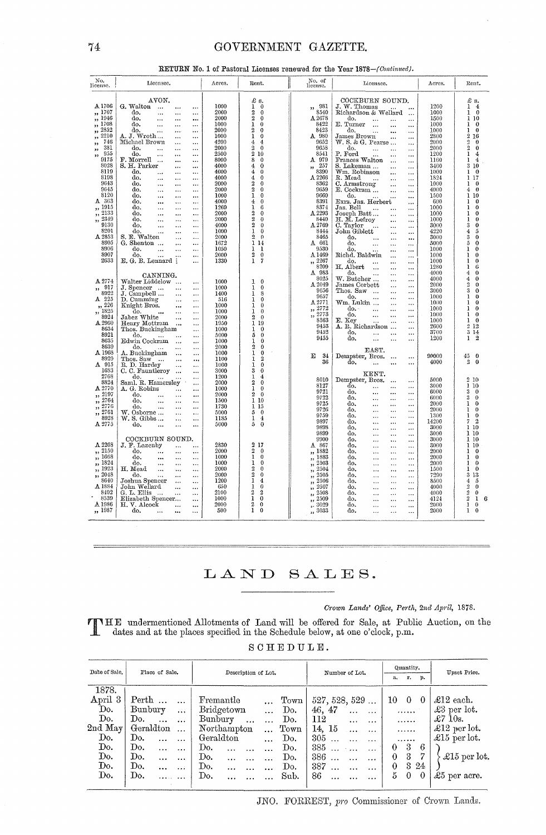#### GOVERNMENT GAZETTE.

| No.<br>license.                    | Licensee.                                                                       | Acres.       | Rent.                                               | No. of<br>license.                               | Licensee.                                                                               | Acres.       | Rent.                                             |
|------------------------------------|---------------------------------------------------------------------------------|--------------|-----------------------------------------------------|--------------------------------------------------|-----------------------------------------------------------------------------------------|--------------|---------------------------------------------------|
| A1706                              | AVON.<br>G. Walton<br><br>$\cdots$                                              | 1000         | £ s.<br>1<br>$\bf{0}$                               | $\begin{array}{c} 981 \\ 8540 \end{array}$<br>,, | COCKBURN SOUND.<br>J. W. Thomas<br>$\cdots$                                             | 1200         | £<br>s.<br>ı<br>$\bf{4}$                          |
| ,, 1707                            | do.<br>$\ddotsc$<br><br>$\ddotsc$                                               | 2000         | $\boldsymbol{2}$<br>$\bf{0}$                        |                                                  | Richardson & Wellard<br>$\ddotsc$                                                       | 1000         | $\bf{0}$<br>1                                     |
| 1946<br>,,                         | do.<br>$\cdots$<br>$\ddotsc$<br>$\cdots$                                        | 2000         | $\overline{2}$<br>0<br>$\mathbf{I}$                 | A 2678<br>8422                                   | do.<br>$\ldots$<br>$\cdots$<br>$\cdots$                                                 | 1500         | ı<br>10                                           |
| 1708<br>,,<br>2852                 | do.<br>$\ddotsc$<br>$\ddotsc$<br>$\cdots$<br>do.<br>$\ddotsc$                   | 1000<br>2000 | 0<br>$\overline{2}$<br>0                            | 8423                                             | E. Turner<br>$\ddotsc$<br>$\cdots$<br><br>do.                                           | 1000<br>1000 | ı<br>0<br>ı<br>$\bf{0}$                           |
| ,,<br>2210<br>,,                   | $\ddotsc$<br>$\cdots$<br>A. J. Wroth …<br>$\ddotsc$<br>$\cdots$                 | 1000         | $\mathbf{I}$<br>0                                   | A 980                                            | $\ldots$<br>$\ddotsc$<br><br>James Brown<br>$\cdots$<br>                                | 2800         | $\overline{2}$<br>16                              |
| 746<br>,,                          | Michael Brown<br>$\ddotsc$<br>$\ddotsc$                                         | 4200         | $\overline{4}$<br>4                                 | 9652                                             | $W. S. \& G.$ Pearse<br>$\cdots$                                                        | 2000         | $\overline{2}$<br>0                               |
| 381<br>,,                          | do.<br>$\ddotsc$<br>$\ddotsc$<br>$\cdots$                                       | 2000         | $\overline{2}$<br>0                                 | 9658                                             | do.<br>$\ldots$<br>$\cdots$<br>$\cdots$                                                 | 2000         | $\overline{2}$<br>$\Omega$                        |
| 955<br>,,                          | do.<br>$\cdots$<br>$\ddotsc$<br>$\ddotsc$                                       | 2500         | $\overline{2}$<br>10                                | 8541                                             | P. Ford<br>$\ddotsc$<br>$\ddotsc$<br>                                                   | 1200         | 1<br>4                                            |
| 9175                               | F. Morrell<br>$\ddotsc$<br>                                                     | 8000         | 8<br>0                                              | A 979                                            | Frances Walton<br><br>$\ddotsc$                                                         | 1160         | ı<br>4                                            |
| 8028<br>8119                       | S. H. Parker<br>$\cdots$<br>$\ddotsc$                                           | 4000         | 4<br>0<br>4<br>0                                    | 257<br>,,<br>8390                                | S. Lakeman<br>$\ldots$<br>$\ddotsc$                                                     | 3460         | 3<br>10<br>ı<br>$\Omega$                          |
| 8198                               | do.<br>$\ddotsc$<br>$\ddotsc$<br><br>do.<br>$\ddotsc$<br>$\cdots$<br>$\ddotsc$  | 4000<br>4000 | $\bf{4}$<br>0                                       | A 2266                                           | Wm. Robinson<br><br>$\cdots$<br>R. Mead<br>$\ddotsc$                                    | 1000<br>1824 | 1<br>17                                           |
| 9643                               | do.<br>$\ddotsc$<br>$\cdots$<br>$\ddot{\phantom{0}}$                            | 2000         | $\boldsymbol{2}$<br>0                               | 8362                                             | $\ddotsc$<br>$\ddotsc$<br>C. Armstrong<br>$\ddotsc$<br>$\ddotsc$                        | 1000         | $\theta$                                          |
| 9645                               | do.<br>$\ddot{\phantom{a}}$<br>$\cdots$<br>$\cdots$                             | 2000         | $\overline{2}$<br>0                                 | 9659                                             | E. Cockram<br><br>$\ddotsc$                                                             | 4000         | 4<br>$\theta$                                     |
| 8120                               | do.<br>$\ddotsc$<br>$\cdots$<br>$\ddotsc$                                       | 1000         | 1<br>0                                              | 9660                                             | do.<br>                                                                                 | 1500         | ı<br>10                                           |
| A 363                              | do.<br>$\cdots$<br>$\ddotsc$<br>$\cdots$                                        | 4000         | 4<br>0                                              | 8391                                             | Exrs. Jas. Herbert<br>                                                                  | 600          | 1<br>0                                            |
| ,, 1915                            | do.<br><br>$\ddotsc$<br>$\ddotsc$                                               | 1269         | ı<br>6<br>0                                         | 8374<br>A 2293                                   | Jas. Bell<br>$\cdots$<br><br>                                                           | 1000         | 1<br>0                                            |
| 2133<br>,,<br>,, 2349              | do.<br>$\ddotsc$<br><br>$\ddotsc$<br>do.                                        | 2000<br>2000 | 2<br>$\boldsymbol{2}$<br>0                          | 8440                                             | Joseph Batt<br>H. M. Lefroy<br>$\cdots$<br>$\cdots$                                     | 1000<br>1000 | 1<br>0<br>1<br>0                                  |
| 9130                               | $\ddotsc$<br>$\cdots$<br>$\ddotsc$<br>do.<br>$\ddotsc$<br>$\ddotsc$<br>$\cdots$ | 4000         | $\overline{2}$<br>0                                 | A 2769                                           | <br>$\cdots$<br>$\cdots$<br>                                                            | 3000         | 3<br>0                                            |
| 8201                               | do.<br>$\ddotsc$<br>$\ddotsc$<br>$\ddotsc$                                      | 1000         | 1<br>$\theta$                                       | 8444                                             | C. Taylor<br>John Giblett<br>$\ddotsc$<br>$\ddotsc$                                     | 4220         | 4<br>5                                            |
| A 2853                             | S. E. Walton<br>$\cdots$<br>$\ddotsc$                                           | 2000         | $\overline{2}$<br>0                                 | 8465                                             | do.<br>$\ddotsc$<br>$\cdots$<br>$\ddotsc$                                               | 3000         | 3<br>$\theta$                                     |
| 8905                               | G. Shenton<br><br>$\ddotsc$                                                     | 1672         | 1<br>14                                             | A 661                                            | do.<br>$\ldots$<br>$\ddotsc$<br>$\cdots$                                                | 5000         | 5<br>$\Omega$                                     |
| 8906<br>8907                       | do.<br><br>$\cdots$                                                             | 1050<br>2000 | 1<br>ı<br>$\boldsymbol{2}$<br>$\theta$              | 9530<br>A 1469                                   | do.<br>$\cdots$<br>$\ddotsc$                                                            | 1000<br>1000 | ı<br>$\theta$<br>$\bf{0}$                         |
| 2633                               | do.<br>$\ddotsc$<br>E. G. B. Lennard :<br>                                      | 1330         | $\mathbf{1}$<br>7                                   | ,, 2267                                          | Richd. Baldwin<br>$\cdots$<br>$\cdots$<br>do.                                           | 1000         | 1<br>$\bf{0}$<br>1                                |
|                                    |                                                                                 |              |                                                     | 8209                                             | $\cdots$<br>$\cdots$<br>$\ddotsc$<br>H. Albert<br>$\ldots$<br>$\cdots$<br>$\ddotsc$     | 1280         | 1<br>6                                            |
|                                    | CANNING.                                                                        |              |                                                     | A 983                                            | do.<br>$\ddots$<br>$\ddotsc$<br>$\cdots$                                                | 4000         | 4<br>$\bf{0}$                                     |
| A 2774                             | Walter Liddelow<br>$\ddotsc$                                                    | 1000         | 1<br>$\theta$                                       | 8025                                             | W. Butcher<br>$\cdots$<br>$\ddotsc$                                                     | 4000         | 4<br>$\theta$                                     |
| , 917                              | J. Spencer<br>$\cdots$<br>$\ddotsc$                                             | 1000         | 1<br>$\mathbf{0}$                                   | A 2049                                           | James Corbett<br>$\ddotsc$<br>$\cdots$                                                  | 2000         | $\overline{2}$<br>$\theta$                        |
| 8922                               | J. Campbell<br><br>$\ddotsc$                                                    | 1400         | 1<br>8                                              | 9656                                             | Thos. Saw<br>$\cdots$<br>$\cdots$<br>$\cdots$                                           | 3000         | 3<br>$\mathbf 0$<br>1                             |
| A 225                              | D. Cumming<br>$\cdots$<br>$\ddotsc$                                             | 516          | 1<br>0                                              | 9657<br>A 2771                                   | do.<br>$\ddotsc$<br>$\cdots$<br>$\ddotsc$<br>Wm. Lukin                                  | 1000<br>1000 | $\bf{0}$<br>ı<br>$\theta$                         |
| ,, 226                             | Knight Bros.<br>$\ddotsc$<br>$\cdots$                                           | 1000         | 0<br>1                                              | ,, 2772                                          | $\ddotsc$<br>$\ddotsc$<br>do.<br>$\ldots$<br>$\ddotsc$<br>$\cdots$                      | 1000         | 1<br>$\theta$                                     |
| ,, 1825<br>8924                    | do.<br>$\cdots$<br>$\ddotsc$<br>                                                | 1000         | $\bf{0}$<br>1<br>$\overline{2}$<br>$\bf{0}$         | $\frac{7}{2773}$                                 | do.<br><br>$\cdots$<br>$\ldots$                                                         | 1000         | $\bf{0}$<br>1                                     |
| A 2960                             | Jabez White<br>$\cdots$<br>$\ddotsc$<br>Henry Mottram<br>$\cdots$<br>$\ddotsc$  | 2000<br>1950 | $\mathbf{1}$<br>19                                  | 8363                                             | E. Key<br>$\overline{a}$<br>$\cdots$<br>$\cdots$                                        | 1000         | $\theta$<br>1                                     |
| 8634                               | Thos. Buckingham<br>$\ddotsc$                                                   | 1000         | 0<br>1                                              | 9453                                             | A. R. Richardson<br>$\ddotsc$                                                           | 2600         | 2 1 2                                             |
| 8921                               | do.<br>$\sim 100$ km $^{-1}$<br>$\cdots$<br>$\ddotsc$                           | 5000         | $\bf{0}$<br>5                                       | 9452<br>9455                                     | do.<br>$\ddotsc$<br>$\cdots$<br>$\cdots$                                                | 3700<br>1200 | 314<br>$\overline{2}$<br>ı                        |
| 8635                               | Edwin Cockram<br>$\ddotsc$<br>$\ddot{\phantom{a}}$                              | 1000         | 0<br>1                                              |                                                  | do.<br>$\ldots$<br>$\ddotsc$<br>$\cdots$                                                |              |                                                   |
| 8639                               | do.<br>$\sim$ 100 $\sim$<br>$\cdots$<br>$\cdots$                                | 2000         | $\bf{0}$<br>2                                       |                                                  | EAST.                                                                                   |              |                                                   |
| A 1968<br>8929                     | A. Buckingham<br>$\cdots$<br>$\ddotsc$<br>Thos. Saw                             | 1000<br>1100 | 1<br>0<br>$\overline{2}$<br>1                       | Е<br>34                                          | Dempster, Bros.<br>$\cdots$<br>$\cdots$                                                 | 90000        | $^{\circ}$<br>45                                  |
| A 915                              | $\cdots$<br><br>R. D. Hardey<br>$\cdots$<br>$\cdots$                            | 1000         | 0<br>1                                              | 36                                               | do.<br>$\sim$ .<br>$\ldots$<br>$\ddotsc$                                                | 4000         | $\overline{2}$<br>0                               |
| 1683                               | C. C. Fauntleroy<br>$\ddotsc$                                                   | 3000         | $\mathbf{0}$<br>3                                   |                                                  |                                                                                         |              |                                                   |
| 2768                               | do.<br>$\ddotsc$<br>$\cdots$<br>$\ddotsc$                                       | 1200         | 1<br>4                                              | 8010                                             | KENT.<br>Dempster, Bros.                                                                | 5000         | 2 10                                              |
| 8824                               | Saml. R. Hamersley<br>$\cdots$                                                  | 2000         | 2<br>$\bf{0}$                                       | 8127                                             | $\cdots$<br>$\ddotsc$<br>do.<br><br>$\cdots$<br>                                        | 3000         | 110                                               |
| A 2770<br>,, 2197                  | A. G. Robins<br>$\ldots$<br>$\cdots$<br>do.                                     | 1000<br>2000 | 1<br>$\bf{0}$<br>$\boldsymbol{2}$<br>$\mathbf{0}$   | 9721                                             | do.<br><br><br>$\cdots$                                                                 | 6000         | 3<br>$\bf{0}$                                     |
| 2764                               | $\ldots$<br>$\cdots$<br>$\ddotsc$<br>do.<br>$\ldots$<br>$\cdots$<br>$\cdots$    | 1500         | 1 10                                                | 9722                                             | do.<br><br>$\cdots$<br>$\cdots$                                                         | 6000         | 3<br>$\theta$                                     |
| ,,<br>2776<br>$\pmb{\mathfrak{z}}$ | do.<br>$\cdots$<br>$\ldots$<br>$\cdots$                                         | 1730         | 1 15                                                | 9725                                             | do.<br><br>$\ddotsc$<br>                                                                | 2000         | $\theta$<br>1                                     |
| 2761<br>,,                         | W. Osborne<br>$\ldots$<br>$\ddotsc$                                             | 5000         | 5<br>$\bf{0}$                                       | 9726<br>9759                                     | do.<br>$\cdots$<br>$\ddotsc$<br>$\cdots$<br>do.                                         | 2000<br>1300 | $\theta$<br>ı<br>1<br>$\theta$                    |
| 8928                               | W. S. Gibbs<br>$\cdots$<br>$\cdots$                                             | 1185         | 1<br>4                                              | 9897                                             | $\cdots$<br><br>$\cdots$<br>do.<br>$\ddotsc$<br><br>$\cdots$                            | 14200        | 2<br>7                                            |
| A 2775                             | do.<br>$\cdots$<br>$\cdots$<br>                                                 | 5000         | 5<br>$\theta$                                       | 9898                                             | do.<br><br>$\ddotsc$<br>                                                                | 3000         | 110                                               |
|                                    |                                                                                 |              |                                                     | 9899                                             | do.<br>$\cdots$<br>$\ddotsc$<br>                                                        | 3000         | 110                                               |
|                                    | COCKBURN SOUND.                                                                 |              |                                                     | 9900                                             | do.<br>$\ddotsc$<br><br>                                                                | 3000         | 110                                               |
| A 2268                             | J. F. Lazenby<br>$\cdots$<br>$\cdots$                                           | 2830         | 2 17<br>$\,2$                                       | A. 867                                           | do.<br>$\ddotsc$<br>$\cdots$<br>$\cdots$                                                | 3000         | 10<br>ı                                           |
| ,, 2150<br>,, 1668                 | do.<br>$\ddotsc$<br>$\cdots$<br>$\ddotsc$<br>do.                                | 2000<br>1000 | $\theta$<br>1<br>$\bf{0}$                           | 1882<br>$\ddot{\phantom{1}}$<br>1883             | do.<br>$\ldots$<br>.<br>$\ddotsc$<br>do.                                                | 2000<br>2000 | $\bf{0}$<br>ı<br>$\bf{0}$<br>1                    |
| ,, 1824                            | $\cdots$<br>$\cdots$<br>$\ddotsc$<br>do.<br>$\cdots$<br>$\cdots$<br>$\ddotsc$   | 1000         | 1<br>$\mathbf{0}$                                   | $\bullet$<br>2503<br>$\cdot$                     | $\cdots$<br>$\cdots$<br><br>do.<br>$\ddotsc$<br>$\cdots$<br>                            | 2000         | 1<br>$\bf{0}$                                     |
| ,, 1923                            | H. Mead<br>$\cdots$<br><br>$\ddotsc$                                            | 2000         | $\boldsymbol{2}$<br>0                               | 2504<br>$\overline{\mathbf{a}}$                  | do.<br>$\ddotsc$<br>$\ddotsc$<br>$\cdots$                                               | 1500         | $\theta$<br>1                                     |
| 2048<br>,                          | do.<br>$\ddotsc$<br><br>$\ddotsc$                                               | 2000         | $\overline{2}$<br>$\theta$                          | 2505<br>$\ddot{\phantom{1}}$                     | do.<br>$\ddotsc$<br>$\ddotsc$<br>$\cdots$                                               | 7290         | 3<br>13                                           |
| 8640                               | Joshua Spencer<br>$\ddotsc$<br>$\ddotsc$                                        | 1200         | $\mathbf{1}$<br>4                                   | 2506<br>, 1                                      | do,<br>$\ddotsc$<br>$\cdots$<br>$\cdots$                                                | 8500         | 5<br>4                                            |
| A 1884<br>8492                     | John Wellard<br>$\cdots$<br>$\ddotsc$                                           | 650<br>2100  | 1<br>$\theta$<br>$\overline{2}$<br>$\boldsymbol{2}$ | 2507<br>55<br>2508                               | do.<br>$\ddotsc$<br>$\cdots$<br>$\cdots$                                                | 4000         | $\,2\,$<br>$\theta$<br>$\overline{2}$<br>$\theta$ |
| 8539                               | G. L. Ellis<br>$\cdots$<br>$\ddotsc$<br>Elizabeth Spencer<br>$\ddotsc$          | 1000         | 1<br>$\bf{0}$                                       | $\bullet$<br>2509                                | do,<br>$\ddotsc$<br>$\cdots$<br>$\ddotsc$<br>do.<br>$\ddotsc$<br>$\ddotsc$<br>$\ddotsc$ | 4000<br>4124 | $\overline{2}$<br>1<br>6                          |
| A 1986                             | H. V. Alcock<br>$\cdots$<br>$\ddotsc$                                           | 2000         | $\boldsymbol{2}$<br>$\mathbf{0}$                    | , 3029                                           | do.<br>$\cdots$<br>$\ddotsc$<br>                                                        | 2000         | 1<br>$\bf{0}$                                     |
| ,, 1987                            | do.<br>$\ddot{\phantom{a}}$<br>$\ddotsc$<br>                                    | 500          | ı<br>0                                              | ,, 3033                                          | do.<br>$\cdots$<br>$\cdots$<br>                                                         | 2000         | 1<br>$\bf{0}$                                     |
|                                    |                                                                                 |              |                                                     |                                                  |                                                                                         |              |                                                   |

#### RETURN No. 1 of Pastoral Licenses renewed for the Year 1878-(Continued).

### LAND SALES.

#### Crown Lands' Office, Perth, 2nd April, 1878.

TIME undermentioned Allotments of Land will be offered for Sale, at Public Auction, on the dates and at the places specified in the Schedule below, at one o'clock, p.m.

|  | $S$ C H E D U L E . |  |  |  |
|--|---------------------|--|--|--|
|  |                     |  |  |  |

| Date of Sale.<br>Place of Sale. |                          | Description of Lot.              | Number of Lot.   | Quantity.                     | Upset Price.            |  |
|---------------------------------|--------------------------|----------------------------------|------------------|-------------------------------|-------------------------|--|
|                                 |                          |                                  |                  | r.<br>p.<br>a.                |                         |  |
| 1878.                           |                          |                                  |                  |                               |                         |  |
| April 3                         | Perth<br>$\ddotsc$       | Fremantle<br>Town                | 527, 528, 529    | $\theta$<br>$\theta$<br>10    | $\pounds12$ each.       |  |
| Do.                             | Bunbury<br>$\cdots$      | Bridgetown<br>Do.<br>$\ddotsc$   | 46.47            | .                             | $\mathcal{L}3$ per lot. |  |
| Do.                             | Do.<br>$\cdots$ $\cdots$ | Bunbury<br>Do.<br>$\ddotsc$      | 112<br>$\ddotsc$ | .                             | $\pounds710s$ .         |  |
| $2nd$ May                       | Geraldton<br>$\ddotsc$   | Northampton<br>Town<br>$\ddotsc$ | 14, 15           | .                             | $\pounds12$ per lot.    |  |
| Do.                             | Do.<br>$\ddotsc$         | Geraldton<br>Do.                 | 305<br>$\cdots$  |                               | £15 per lot.            |  |
| Do.                             | Do.<br>$\ddotsc$         | Do.<br>Do.                       | 385              | 3<br>6<br>$\theta$            |                         |  |
| Do.                             | Do.<br>$\ddotsc$         | Do.<br>Do.<br>.                  | 386<br>$\cdots$  | 3<br>7<br>$\Omega$            | $\pounds15$ per lot.    |  |
| Do.                             | Do.                      | Do.<br>Do.<br>                   | 387              | 3<br>24<br>0                  |                         |  |
| Do.                             | Do.<br>.                 | Do.<br>Sub.                      | 86               | 5.<br>$\mathbf 0$<br>$\theta$ | £5 per acre.            |  |

JNO. FORREST, pro Commissioner of Crown Lands.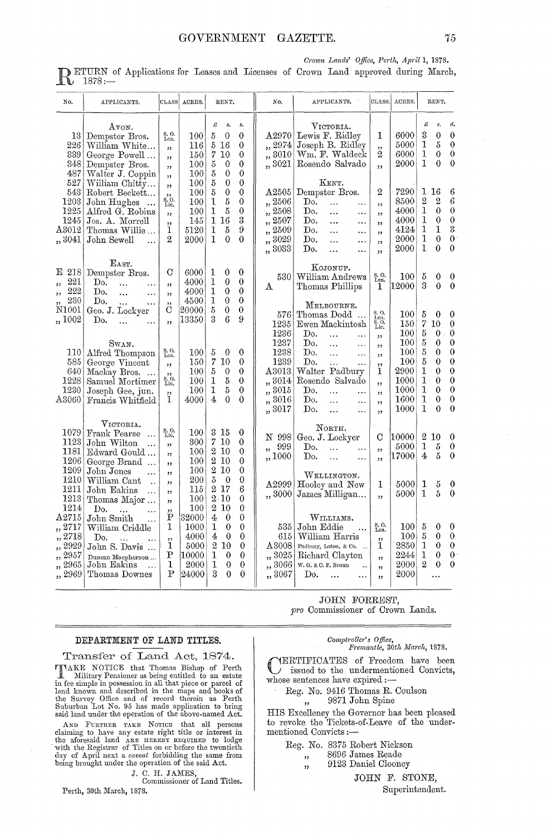Crown Lands' Office, Perth, April 1, 1878.

ETURN of Applications for Leases and Licenses of Crown Land approved during March,  $\mathbb{K}$  1878:

| No.                                                                | APPLICANTS.                                                                                                                             | CLASS                                                       | ACRES.                                                  | RENT.                                                                                                                                                                          |                                                                                                | No.                                                                               | APPLICANTS.                                                                                                                                                                                          |                                                      | CLASS. ACRES.                                             |                                                     | RENT.                                                          |                                                                                                                     |
|--------------------------------------------------------------------|-----------------------------------------------------------------------------------------------------------------------------------------|-------------------------------------------------------------|---------------------------------------------------------|--------------------------------------------------------------------------------------------------------------------------------------------------------------------------------|------------------------------------------------------------------------------------------------|-----------------------------------------------------------------------------------|------------------------------------------------------------------------------------------------------------------------------------------------------------------------------------------------------|------------------------------------------------------|-----------------------------------------------------------|-----------------------------------------------------|----------------------------------------------------------------|---------------------------------------------------------------------------------------------------------------------|
| 13 <sub>1</sub><br>226<br>339<br>348<br>487                        | AVON.<br>Dempster Bros.<br>William White<br>George Powell<br>Dempster Bros.<br>Walter J. Coppin                                         | S. O.<br>Lea.<br>,<br>, ,<br>,,<br>, ,                      | 100<br>116<br>150<br>100<br>100                         | £<br>s.<br>5<br>$\theta$<br>5<br>16<br>7<br>10<br>$\boldsymbol{5}$<br>0<br>$\boldsymbol{5}$<br>0                                                                               | $\pmb{s}.$<br>0<br>0<br>0<br>$\boldsymbol{0}$<br>$\theta$                                      | A2970 <br>,, 2974<br>,, 3010<br>,, 3021                                           | VICTORIA.<br>Lewis F. Ridley<br>Joseph B. Ridley<br>Wm. F. Waldeck<br>Rosendo Salvado                                                                                                                | 1<br>,,<br>2<br>,                                    | 6000<br>5000<br>6000<br>2000                              | £<br>3<br>1<br>1<br>1                               | \$.<br>$\mathbf 0$<br>5<br>$\theta$<br>$\theta$                | đ.<br>$\theta$<br>$\boldsymbol{0}$<br>$\theta$<br>$\theta$                                                          |
| 527<br>543<br>1203<br>1225<br>1245<br>$\Delta3012$<br>,, 3041      | William Chitty<br>Robert Beckett<br>John Hughes<br>Alfred G. Robins<br>Jos. A. Morrell<br>Thomas Willie<br>John Sewell<br>$\ddotsc$     | ,<br>$\ddot{\mathbf{s}}_{.0}$<br>Lic.<br>,<br>,,<br>1<br>2  | 100<br>100<br>100<br>100<br>145<br>5120<br>2000         | $\boldsymbol{5}$<br>$\bf{0}$<br>$\overline{5}$<br>$\bf{0}$<br>5<br>$\mathbf{I}$<br>$\mathbf 1$<br>$\overline{5}$<br>16<br>$\mathbf 1$<br>$\mathbf 1$<br>5<br>$\mathbf{1}$<br>0 | $\overline{0}$<br>$\theta$<br>$\theta$<br>$\theta$<br>3<br>9<br>$\theta$                       | A2505<br>,, 2506<br>,, 2508<br>2507<br>,,<br>2509<br>,<br>3029<br>,<br>,, 3033    | KENT.<br>Dempster Bros.<br>Do.<br>$\ddotsc$<br><br>Do.<br><br>$\ldots$<br>Do.<br>$\ddotsc$<br><br>Do.<br><br>$\ldots$<br>Do.<br>$\cdots$<br>$\ddotsc$<br>Do.<br><br>$\ddotsc$                        | 2<br>,,<br>,<br>,,<br>, ,<br>, ,<br>, 1              | 7290<br>8500<br>4000<br>4000<br>4124<br>2000<br>2000      | $\,2\,$<br>$\mathbf 1$<br>1<br>1<br>1<br>1          | 1 16<br>$\mathbf 2$<br>$\mathbf{0}$<br>0<br>1<br>$\theta$<br>0 | 6<br>$\ddot{6}$<br>$\theta$<br>$\boldsymbol{0}$<br>3<br>$\mathbf{0}$<br>$\overline{0}$                              |
| E 218<br>221<br>,,<br>222<br>53<br>230                             | EAST.<br>Dempster Bros.<br>Do.<br>$\ddotsc$<br>Do.<br>$\ddotsc$<br>$\ldots$<br>Do.<br>$\ddotsc$<br>$\ddotsc$                            | С<br>, 1<br>$\overline{\phantom{a}}$                        | 6000<br>4000<br>4000<br>4500                            | 1<br>0<br>$\mathbf{I}$<br>0<br>$\mathbf 1$<br>$\theta$<br>1<br>$\theta$                                                                                                        | 0<br>$\theta$<br>$\mathbf{0}$<br>$\theta$                                                      | 530.<br>Α                                                                         | KOJONUP.<br>William Andrews<br>Thomas Phillips<br>Melbourne.                                                                                                                                         | S. O.<br>Lea.<br>1                                   | $100\,$<br>12000                                          | $\overline{5}$<br>3                                 | 0<br>0                                                         | 0<br>0                                                                                                              |
| $\rm N1001$<br>,, 1002                                             | Geo. J. Lockyer<br>Do.<br>$\ddotsc$                                                                                                     | С<br>, ,                                                    | 20000<br>13350                                          | 5<br>$\boldsymbol{0}$<br>$\overline{6}$<br>3                                                                                                                                   | $\theta$<br>9                                                                                  | 576<br>1235<br>1236                                                               | Thomas Dodd<br>Ewen Mackintosh<br>Do.<br>$\ddotsc$<br>$\ddots$                                                                                                                                       | S.O.<br>$_{\rm s.o.}^{\rm{Lea}}$<br>,,               | 100<br>150<br>$100\,$                                     | 5<br>$\overline{7}$<br>5                            | 0<br>10<br>0                                                   | 0<br>$\theta$<br>0                                                                                                  |
| <b>110</b><br>585<br>640<br>1228<br>1230<br>$\Delta 3060$          | Swan.<br>Alfred Thompson<br>George Vincent<br>Mackay Bros.<br>Samuel Mortimer<br>Joseph Gee, jun.<br>Francis Whitfield                  | S.O.<br>Lea.<br>ý3<br>$\overline{\S}$ .<br>Lic.<br>,,<br>1. | 100<br>150<br>100<br>100<br>100<br>4000                 | 5<br>0<br>7<br>$10\,$<br>5<br>$\bf{0}$<br>5<br>1<br>$\overline{5}$<br>$\mathbf{I}$<br>4<br>$\theta$                                                                            | 0<br>0<br>$\theta$<br>$\theta$<br>$\mathbf{0}$<br>$\Omega$                                     | 1237<br>1238<br>1239<br>$\Delta 3013$<br>,, 3014<br>,, 3015<br>,, 3016<br>,, 3017 | Do.<br>$\dddotsc$<br>.<br>Do.<br>$\ddotsc$<br>$\ddotsc$<br>Do.<br>$\ddotsc$<br>$\cdots$<br>Walter Padbury<br>Rosendo Salvado<br>Do.<br>.<br><br>Do.<br>$\ddotsc$<br><br>Do.<br>$\ddotsc$<br>$\ldots$ | ,,<br>, 1<br>,,<br>1<br>,,<br>,,<br>,<br>$^{\prime}$ | 100<br>100<br>100<br>2900<br>1000<br>1000<br>1600<br>1000 | $\boldsymbol{5}$<br>5<br>5<br>1<br>1<br>1<br>1<br>1 | 0<br>0<br>0<br>0<br>$\overline{0}$<br>0<br>$\theta$<br>0       | $\bf{0}$<br>$\theta$<br>$\ddot{\mathbf{0}}$<br>$\bf{0}$<br>$\boldsymbol{0}$<br>$\theta$<br>$\mathbf{0}$<br>$\theta$ |
| 1079<br>1123<br>1181<br>1206                                       | VICTORIA.<br>Frank Pearse<br>$\dddotsc$<br>John Wilton<br>.<br>Edward Gould<br>George Brand                                             | $S, O.$ Lic.<br>, 2<br>12<br>,,                             | 100<br>300<br>100<br>$100\,$                            | 3<br>-15<br>$\overline{7}$<br>10<br>$\boldsymbol{2}$<br>10<br>$\boldsymbol{2}$<br>10                                                                                           | 0<br>$\bf{0}$<br>$\Omega$<br>$\theta$                                                          | N 998<br>999<br>$\overline{\phantom{a}}$<br>,,1000                                | NORTH.<br>Geo. J. Lockyer<br>Do.<br>$\ddotsc$<br>$\ddotsc$<br>Do.<br>$\ddotsc$<br>.                                                                                                                  | С<br>,,<br>,,                                        | 10000<br>5000<br>17000                                    | $\mathbf 1$<br>4                                    | 2 10<br>5<br>5                                                 | 0<br>0<br>$\theta$                                                                                                  |
| 1209<br>1210<br>1211<br>1213<br>1214                               | John Jones<br>.<br>William Cant<br>$\ddot{\phantom{a}}$<br>John Eakins<br><br>Thomas Major<br>Do.<br>$\ddotsc$                          | , 1<br>,<br>,,<br>$^{\prime}$<br>,,                         | 100<br>200<br>115<br>100<br>100                         | $\,2\,$<br>10<br>$\overline{5}$<br>$\theta$<br>2 17<br>$2 \cdot 10$<br>$\mathbf 2$<br>10                                                                                       | $\theta$<br>$\theta$<br>6<br>$\theta$<br>$\theta$                                              | A2999<br>,,3000                                                                   | WELLINGTON.<br>Hooley and New<br>James Milligan                                                                                                                                                      | 1<br>,,                                              | 5000<br>5000                                              | 1<br>1                                              | 5<br>5                                                         | 0<br>0                                                                                                              |
| A2715<br>,, 2717<br>"2718<br>,, 2929<br>2957<br>,, 2965<br>,, 2969 | John Smith<br>William Criddle<br>Do.<br>$\ddotsc$<br>John S. Davis<br>Duncan Macpherson<br>John Eakins<br>$\mathbf{A}$<br>Thomas Downes | Έ<br>1<br>, ,<br>1<br>Ρ<br>1<br>P                           | 32000<br>1000<br>4000<br>5000<br>10000<br>2000<br>24000 | 4<br>$\bf{0}$<br>1<br>$\theta$<br>4<br>$\theta$<br>$\boldsymbol{2}$<br>10<br>1<br>$\theta$<br>1<br>$\theta$<br>3<br>$\theta$                                                   | $\theta$<br>$\theta$<br>$\overline{0}$<br>$\boldsymbol{0}$<br>$\theta$<br>$\theta$<br>$\theta$ | 535<br>615<br>$\rm A3008$<br>,, 3025<br>,, 3066<br>,, 3067                        | WILLIAMS.<br>John Eddie<br>William Harris<br>Padbury, Loton, & Co.<br>Richard Clayton<br>W. G. & C. F. Broun<br>Do.<br>$\ddotsc$                                                                     | S.O.<br>Lea.<br>, 1<br>1<br>, 2<br>,<br>, 1          | 100<br>$100\,$<br>2850<br>2244<br>2000<br>2000            | 5<br>$\rm 5$<br>1<br>1<br>$\overline{2}$            | 0<br>0<br>0<br>0<br>0                                          | 0<br>0<br>$\boldsymbol{0}$<br>$\theta$<br>$\theta$                                                                  |

#### DEPARTMENT OF LAND TITLES.

Transfer of Land Act, 1874. Milton Bonior and Thomas Bishop of Perth INAKE NOTICE that Thomas Bishop of Perth<br>
In Military Pensioner as being entitled to an estate<br>
in fee simple in possession in all that piece or parcel of<br>
land known and described in the maps and books of<br>
the Survey Offi

AND FURTHER TAKE MOTER In a disorder and the discussion of the above-handed recommends calaming to have any estate right title or interest in the aforesaid land ARE HEREEY REQUIRED to lodge with the Registrar of Titles on

J. C. H. JAMES,

Commissioner of Land Titles.

Perth, 30th March, 1878.

## Comptroller's Office,<br>Fremantle, 30th March, 1878.

**IERTIFICATES** of Freedom have been issued to the undermentioned Convicts, whose sentences have expired :-

JOHN FORREST, pro Commissioner of Crown Lands.

Reg. No. 9416 Thomas R. Coulson 9871 John Spine

HIS Excellency the Governor has been pleased to revoke the Tickets-of-Leave of the undermentioned Convicts:-

Reg. No. 8375 Robert Nickson

8696 James Reade  $^{\prime}$ 

9123 Daniel Clooney  $,$ 

JOHN F. STONE,

Superintendent.